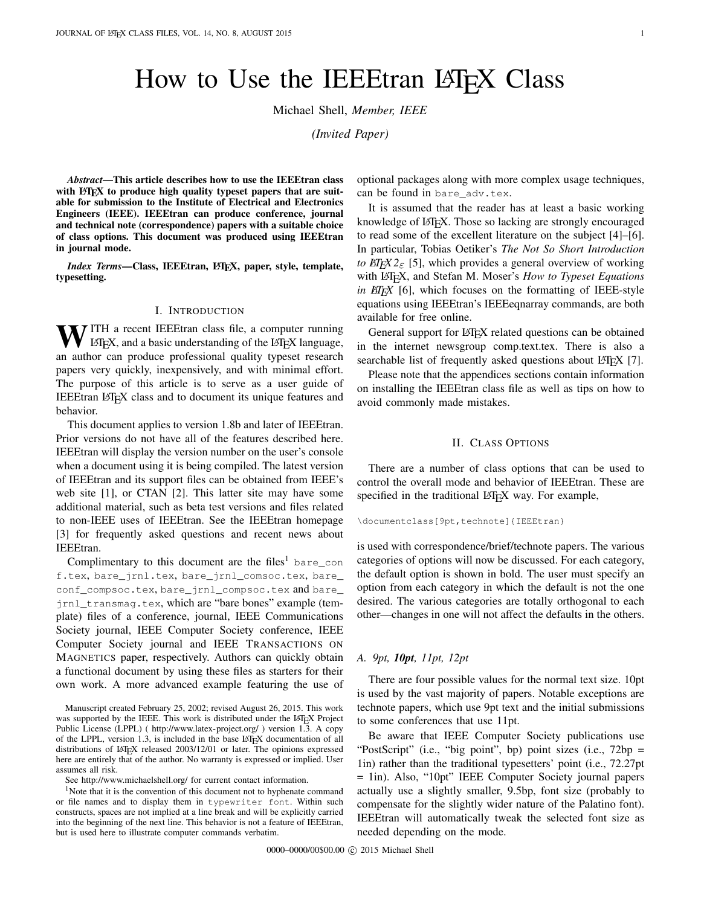# How to Use the IEEEtran LAT<sub>EX</sub> Class

Michael Shell, *Member, IEEE*

*(Invited Paper)*

*Abstract*—This article describes how to use the IEEEtran class with  $\mathbb{F}E[X]$  to produce high quality typeset papers that are suitable for submission to the Institute of Electrical and Electronics Engineers (IEEE). IEEEtran can produce conference, journal and technical note (correspondence) papers with a suitable choice of class options. This document was produced using IEEEtran in journal mode.

*Index Terms*—Class, IEEEtran, L<sup>I</sup>F<sub>K</sub>X, paper, style, template, typesetting.

#### I. INTRODUCTION

WITH a recent IEEEtran class file, a computer running<br>LATEX, and a basic understanding of the LATEX language, an author can produce professional quality typeset research papers very quickly, inexpensively, and with minimal effort. The purpose of this article is to serve as a user guide of IEEEtran LATEX class and to document its unique features and behavior.

This document applies to version 1.8b and later of IEEEtran. Prior versions do not have all of the features described here. IEEEtran will display the version number on the user's console when a document using it is being compiled. The latest version of IEEEtran and its support files can be obtained from IEEE's web site [\[1\]](#page-26-0), or CTAN [\[2\]](#page-26-1). This latter site may have some additional material, such as beta test versions and files related to non-IEEE uses of IEEEtran. See the IEEEtran homepage [\[3\]](#page-26-2) for frequently asked questions and recent news about IEEEtran.

Complimentary to this document are the files<sup>[1](#page-0-0)</sup> bare\_con f.tex, bare\_jrnl.tex, bare\_jrnl\_comsoc.tex, bare\_ conf\_compsoc.tex, bare\_jrnl\_compsoc.tex and bare\_ jrnl\_transmag.tex, which are "bare bones" example (template) files of a conference, journal, IEEE Communications Society journal, IEEE Computer Society conference, IEEE Computer Society journal and IEEE TRANSACTIONS ON MAGNETICS paper, respectively. Authors can quickly obtain a functional document by using these files as starters for their own work. A more advanced example featuring the use of

Manuscript created February 25, 2002; revised August 26, 2015. This work was supported by the IEEE. This work is distributed under the LATEX Project Public License (LPPL) ( <http://www.latex-project.org/> ) version 1.3. A copy of the LPPL, version 1.3, is included in the base LAT<sub>E</sub>X documentation of all distributions of LATEX released 2003/12/01 or later. The opinions expressed here are entirely that of the author. No warranty is expressed or implied. User assumes all risk.

<span id="page-0-0"></span>See <http://www.michaelshell.org/> for current contact information.

 $1$ Note that it is the convention of this document not to hyphenate command or file names and to display them in typewriter font. Within such constructs, spaces are not implied at a line break and will be explicitly carried into the beginning of the next line. This behavior is not a feature of IEEEtran, but is used here to illustrate computer commands verbatim.

optional packages along with more complex usage techniques, can be found in bare adv.tex.

It is assumed that the reader has at least a basic working knowledge of LATEX. Those so lacking are strongly encouraged to read some of the excellent literature on the subject [\[4\]](#page-26-3)–[\[6\]](#page-26-4). In particular, Tobias Oetiker's *The Not So Short Introduction to*  $\text{ETr}X2_{\epsilon}$  [\[5\]](#page-26-5), which provides a general overview of working with LATEX, and Stefan M. Moser's *How to Typeset Equations in EIFX* [\[6\]](#page-26-4), which focuses on the formatting of IEEE-style equations using IEEEtran's IEEEeqnarray commands, are both available for free online.

General support for LATEX related questions can be obtained in the internet newsgroup comp.text.tex. There is also a searchable list of frequently asked questions about LATEX [\[7\]](#page-26-6).

Please note that the appendices sections contain information on installing the IEEEtran class file as well as tips on how to avoid commonly made mistakes.

#### II. CLASS OPTIONS

There are a number of class options that can be used to control the overall mode and behavior of IEEEtran. These are specified in the traditional LATEX way. For example,

\documentclass[9pt,technote]{IEEEtran}

is used with correspondence/brief/technote papers. The various categories of options will now be discussed. For each category, the default option is shown in bold. The user must specify an option from each category in which the default is not the one desired. The various categories are totally orthogonal to each other—changes in one will not affect the defaults in the others.

#### *A. 9pt, 10pt, 11pt, 12pt*

There are four possible values for the normal text size. 10pt is used by the vast majority of papers. Notable exceptions are technote papers, which use 9pt text and the initial submissions to some conferences that use 11pt.

Be aware that IEEE Computer Society publications use "PostScript" (i.e., "big point", bp) point sizes (i.e., 72bp = 1in) rather than the traditional typesetters' point (i.e., 72.27pt = 1in). Also, "10pt" IEEE Computer Society journal papers actually use a slightly smaller, 9.5bp, font size (probably to compensate for the slightly wider nature of the Palatino font). IEEEtran will automatically tweak the selected font size as needed depending on the mode.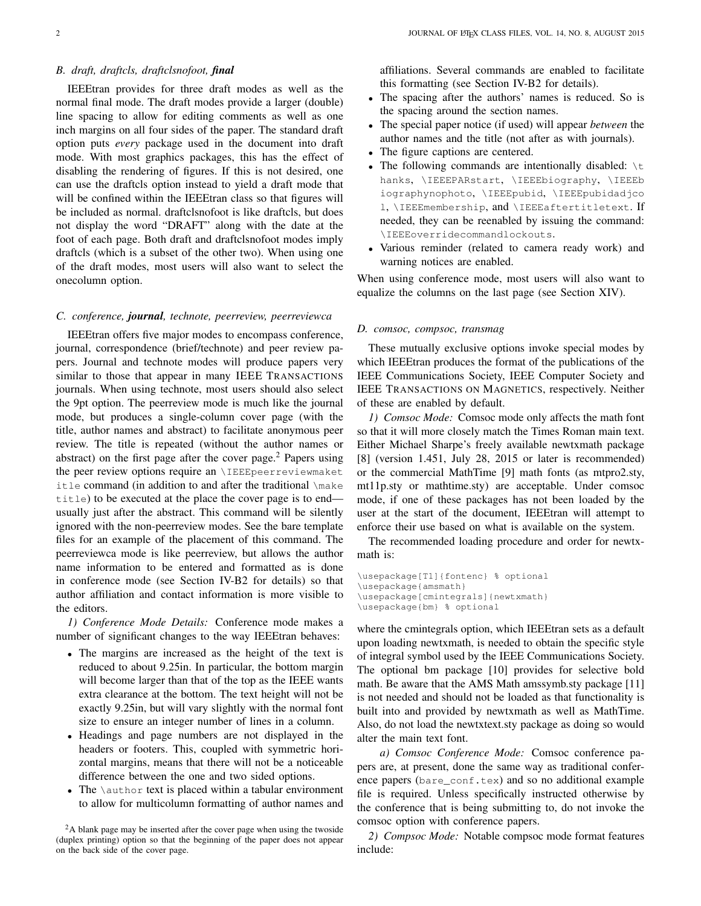## <span id="page-1-1"></span>*B. draft, draftcls, draftclsnofoot, final*

IEEEtran provides for three draft modes as well as the normal final mode. The draft modes provide a larger (double) line spacing to allow for editing comments as well as one inch margins on all four sides of the paper. The standard draft option puts *every* package used in the document into draft mode. With most graphics packages, this has the effect of disabling the rendering of figures. If this is not desired, one can use the draftcls option instead to yield a draft mode that will be confined within the IEEEtran class so that figures will be included as normal. draftclsnofoot is like draftcls, but does not display the word "DRAFT" along with the date at the foot of each page. Both draft and draftclsnofoot modes imply draftcls (which is a subset of the other two). When using one of the draft modes, most users will also want to select the onecolumn option.

## *C. conference, journal, technote, peerreview, peerreviewca*

IEEEtran offers five major modes to encompass conference, journal, correspondence (brief/technote) and peer review papers. Journal and technote modes will produce papers very similar to those that appear in many IEEE TRANSACTIONS journals. When using technote, most users should also select the 9pt option. The peerreview mode is much like the journal mode, but produces a single-column cover page (with the title, author names and abstract) to facilitate anonymous peer review. The title is repeated (without the author names or abstract) on the first page after the cover page.<sup>[2](#page-1-0)</sup> Papers using the peer review options require an \IEEEpeerreviewmaket itle command (in addition to and after the traditional \make title) to be executed at the place the cover page is to end usually just after the abstract. This command will be silently ignored with the non-peerreview modes. See the bare template files for an example of the placement of this command. The peerreviewca mode is like peerreview, but allows the author name information to be entered and formatted as is done in conference mode (see Section [IV-B2](#page-4-0) for details) so that author affiliation and contact information is more visible to the editors.

*1) Conference Mode Details:* Conference mode makes a number of significant changes to the way IEEEtran behaves:

- The margins are increased as the height of the text is reduced to about 9.25in. In particular, the bottom margin will become larger than that of the top as the IEEE wants extra clearance at the bottom. The text height will not be exactly 9.25in, but will vary slightly with the normal font size to ensure an integer number of lines in a column.
- Headings and page numbers are not displayed in the headers or footers. This, coupled with symmetric horizontal margins, means that there will not be a noticeable difference between the one and two sided options.
- The \author text is placed within a tabular environment to allow for multicolumn formatting of author names and

affiliations. Several commands are enabled to facilitate this formatting (see Section [IV-B2](#page-4-0) for details).

- The spacing after the authors' names is reduced. So is the spacing around the section names.
- The special paper notice (if used) will appear *between* the author names and the title (not after as with journals).
- The figure captions are centered.
- The following commands are intentionally disabled:  $\setminus t$ hanks, \IEEEPARstart, \IEEEbiography, \IEEEb iographynophoto, \IEEEpubid, \IEEEpubidadjco l, \IEEEmembership, and \IEEEaftertitletext. If needed, they can be reenabled by issuing the command: \IEEEoverridecommandlockouts.
- Various reminder (related to camera ready work) and warning notices are enabled.

When using conference mode, most users will also want to equalize the columns on the last page (see Section [XIV\)](#page-15-0).

#### *D. comsoc, compsoc, transmag*

These mutually exclusive options invoke special modes by which IEEEtran produces the format of the publications of the IEEE Communications Society, IEEE Computer Society and IEEE TRANSACTIONS ON MAGNETICS, respectively. Neither of these are enabled by default.

*1) Comsoc Mode:* Comsoc mode only affects the math font so that it will more closely match the Times Roman main text. Either Michael Sharpe's freely available newtxmath package [\[8\]](#page-26-7) (version 1.451, July 28, 2015 or later is recommended) or the commercial MathTime [\[9\]](#page-26-8) math fonts (as mtpro2.sty, mt11p.sty or mathtime.sty) are acceptable. Under comsoc mode, if one of these packages has not been loaded by the user at the start of the document, IEEEtran will attempt to enforce their use based on what is available on the system.

The recommended loading procedure and order for newtxmath is:

```
\usepackage[T1]{fontenc} % optional
\usepackage{amsmath}
\usepackage[cmintegrals]{newtxmath}
\usepackage{bm} % optional
```
where the cmintegrals option, which IEEEtran sets as a default upon loading newtxmath, is needed to obtain the specific style of integral symbol used by the IEEE Communications Society. The optional bm package [\[10\]](#page-26-9) provides for selective bold math. Be aware that the AMS Math amssymb.sty package [\[11\]](#page-26-10) is not needed and should not be loaded as that functionality is built into and provided by newtxmath as well as MathTime. Also, do not load the newtxtext.sty package as doing so would alter the main text font.

*a) Comsoc Conference Mode:* Comsoc conference papers are, at present, done the same way as traditional conference papers (bare\_conf.tex) and so no additional example file is required. Unless specifically instructed otherwise by the conference that is being submitting to, do not invoke the comsoc option with conference papers.

*2) Compsoc Mode:* Notable compsoc mode format features include:

<span id="page-1-0"></span><sup>&</sup>lt;sup>2</sup>A blank page may be inserted after the cover page when using the twoside (duplex printing) option so that the beginning of the paper does not appear on the back side of the cover page.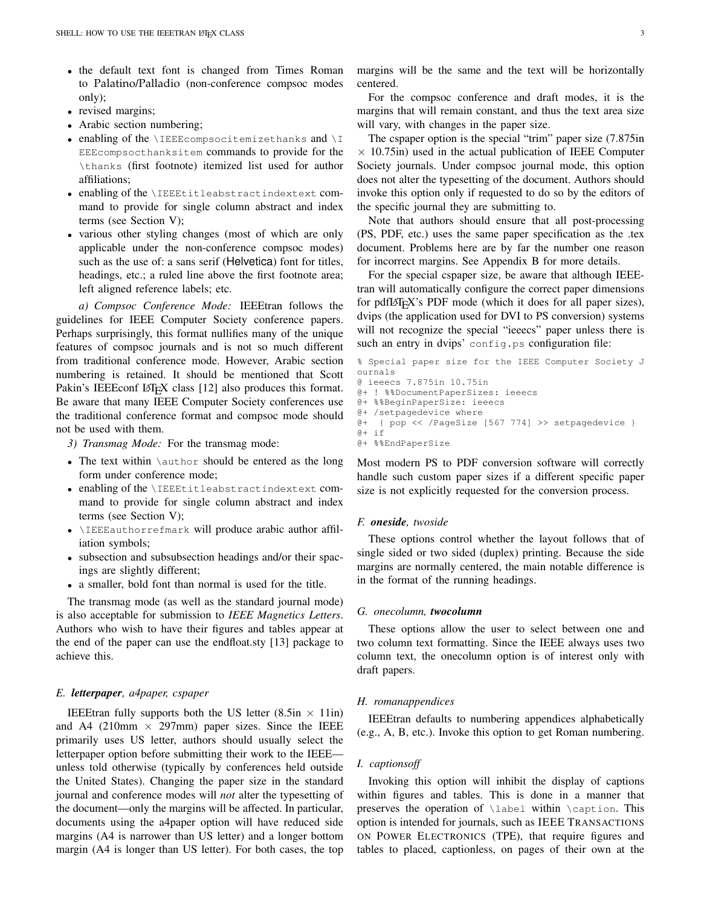- the default text font is changed from Times Roman to Palatino/Palladio (non-conference compsoc modes only);
- revised margins;
- Arabic section numbering;
- enabling of the  $\I{IEEE}$ compsocitemizethanks and  $\I{I}$ EEEcompsocthanksitem commands to provide for the \thanks (first footnote) itemized list used for author affiliations;
- enabling of the \IEEEtitleabstractindextext command to provide for single column abstract and index terms (see Section [V\)](#page-6-0);
- various other styling changes (most of which are only applicable under the non-conference compsoc modes) such as the use of: a sans serif (Helvetica) font for titles, headings, etc.; a ruled line above the first footnote area; left aligned reference labels; etc.

*a) Compsoc Conference Mode:* IEEEtran follows the guidelines for IEEE Computer Society conference papers. Perhaps surprisingly, this format nullifies many of the unique features of compsoc journals and is not so much different from traditional conference mode. However, Arabic section numbering is retained. It should be mentioned that Scott Pakin's IEEEconf LATEX class [\[12\]](#page-26-11) also produces this format. Be aware that many IEEE Computer Society conferences use the traditional conference format and compsoc mode should not be used with them.

*3) Transmag Mode:* For the transmag mode:

- The text within  $\lambda$  author should be entered as the long form under conference mode;
- enabling of the \IEEEtitleabstractindextext command to provide for single column abstract and index terms (see Section [V\)](#page-6-0);
- \IEEEauthorrefmark will produce arabic author affiliation symbols;
- subsection and subsubsection headings and/or their spacings are slightly different;
- a smaller, bold font than normal is used for the title.

The transmag mode (as well as the standard journal mode) is also acceptable for submission to *IEEE Magnetics Letters*. Authors who wish to have their figures and tables appear at the end of the paper can use the endfloat.sty [\[13\]](#page-27-0) package to achieve this.

#### *E. letterpaper, a4paper, cspaper*

IEEEtran fully supports both the US letter  $(8.5in \times 11in)$ and A4 (210mm  $\times$  297mm) paper sizes. Since the IEEE primarily uses US letter, authors should usually select the letterpaper option before submitting their work to the IEEE unless told otherwise (typically by conferences held outside the United States). Changing the paper size in the standard journal and conference modes will *not* alter the typesetting of the document—only the margins will be affected. In particular, documents using the a4paper option will have reduced side margins (A4 is narrower than US letter) and a longer bottom margin (A4 is longer than US letter). For both cases, the top

margins will be the same and the text will be horizontally centered.

For the compsoc conference and draft modes, it is the margins that will remain constant, and thus the text area size will vary, with changes in the paper size.

The cspaper option is the special "trim" paper size (7.875in  $\times$  10.75in) used in the actual publication of IEEE Computer Society journals. Under compsoc journal mode, this option does not alter the typesetting of the document. Authors should invoke this option only if requested to do so by the editors of the specific journal they are submitting to.

Note that authors should ensure that all post-processing (PS, PDF, etc.) uses the same paper specification as the .tex document. Problems here are by far the number one reason for incorrect margins. See Appendix [B](#page-16-0) for more details.

For the special cspaper size, be aware that although IEEEtran will automatically configure the correct paper dimensions for pdfLATEX's PDF mode (which it does for all paper sizes), dvips (the application used for DVI to PS conversion) systems will not recognize the special "ieeecs" paper unless there is such an entry in dvips' config.ps configuration file:

```
% Special paper size for the IEEE Computer Society J
ournals
@ ieeecs 7.875in 10.75in
@+ ! %%DocumentPaperSizes: ieeecs
@+ %%BeginPaperSize: ieeecs
@+ /setpagedevice where
@+ { pop << /PageSize [567 774] >> setpagedevice }
a + i f@+ %%EndPaperSize
```
Most modern PS to PDF conversion software will correctly handle such custom paper sizes if a different specific paper size is not explicitly requested for the conversion process.

#### *F. oneside, twoside*

These options control whether the layout follows that of single sided or two sided (duplex) printing. Because the side margins are normally centered, the main notable difference is in the format of the running headings.

#### *G. onecolumn, twocolumn*

These options allow the user to select between one and two column text formatting. Since the IEEE always uses two column text, the onecolumn option is of interest only with draft papers.

#### *H. romanappendices*

IEEEtran defaults to numbering appendices alphabetically (e.g., A, B, etc.). Invoke this option to get Roman numbering.

#### *I. captionsoff*

Invoking this option will inhibit the display of captions within figures and tables. This is done in a manner that preserves the operation of \label within \caption. This option is intended for journals, such as IEEE TRANSACTIONS ON POWER ELECTRONICS (TPE), that require figures and tables to placed, captionless, on pages of their own at the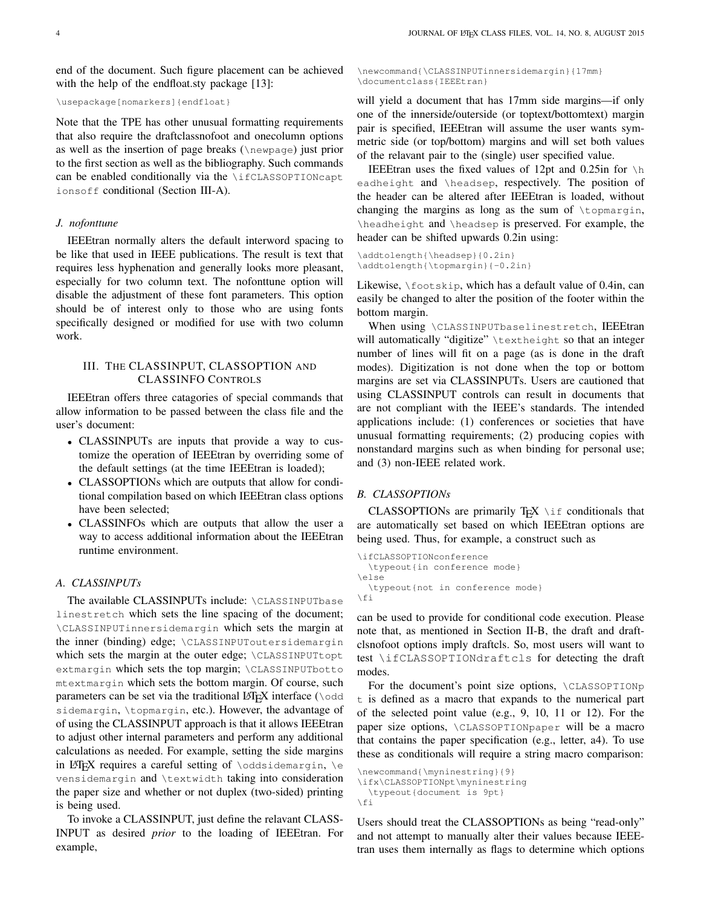end of the document. Such figure placement can be achieved with the help of the endfloat.sty package [\[13\]](#page-27-0):

```
\usepackage[nomarkers]{endfloat}
```
Note that the TPE has other unusual formatting requirements that also require the draftclassnofoot and onecolumn options as well as the insertion of page breaks (\newpage) just prior to the first section as well as the bibliography. Such commands can be enabled conditionally via the \ifCLASSOPTIONcapt ionsoff conditional (Section [III-A\)](#page-3-0).

#### *J. nofonttune*

IEEEtran normally alters the default interword spacing to be like that used in IEEE publications. The result is text that requires less hyphenation and generally looks more pleasant, especially for two column text. The nofonttune option will disable the adjustment of these font parameters. This option should be of interest only to those who are using fonts specifically designed or modified for use with two column work.

## III. THE CLASSINPUT, CLASSOPTION AND CLASSINFO CONTROLS

IEEEtran offers three catagories of special commands that allow information to be passed between the class file and the user's document:

- CLASSINPUTs are inputs that provide a way to customize the operation of IEEEtran by overriding some of the default settings (at the time IEEEtran is loaded);
- CLASSOPTIONs which are outputs that allow for conditional compilation based on which IEEEtran class options have been selected;
- CLASSINFOs which are outputs that allow the user a way to access additional information about the IEEEtran runtime environment.

## <span id="page-3-0"></span>*A. CLASSINPUTs*

The available CLASSINPUTs include: \CLASSINPUTbase linestretch which sets the line spacing of the document; \CLASSINPUTinnersidemargin which sets the margin at the inner (binding) edge; \CLASSINPUToutersidemargin which sets the margin at the outer edge; \CLASSINPUTtopt extmargin which sets the top margin; \CLASSINPUTbotto mtextmargin which sets the bottom margin. Of course, such parameters can be set via the traditional LAT<sub>E</sub>X interface ( $\backslash$ odd sidemargin, \topmargin, etc.). However, the advantage of of using the CLASSINPUT approach is that it allows IEEEtran to adjust other internal parameters and perform any additional calculations as needed. For example, setting the side margins in LAT<sub>E</sub>X requires a careful setting of *\oddsidemargin*, *\e* vensidemargin and \textwidth taking into consideration the paper size and whether or not duplex (two-sided) printing is being used.

To invoke a CLASSINPUT, just define the relavant CLASS-INPUT as desired *prior* to the loading of IEEEtran. For example,

\newcommand{\CLASSINPUTinnersidemargin}{17mm} \documentclass{IEEEtran}

will yield a document that has 17mm side margins—if only one of the innerside/outerside (or toptext/bottomtext) margin pair is specified, IEEEtran will assume the user wants symmetric side (or top/bottom) margins and will set both values of the relavant pair to the (single) user specified value.

IEEEtran uses the fixed values of 12pt and 0.25in for  $\hbar$ eadheight and \headsep, respectively. The position of the header can be altered after IEEEtran is loaded, without changing the margins as long as the sum of  $\to$  expansion, \headheight and \headsep is preserved. For example, the header can be shifted upwards 0.2in using:

```
\addtolength{\headsep}{0.2in}
\addtolength{\topmargin}{-0.2in}
```
Likewise, \footskip, which has a default value of 0.4in, can easily be changed to alter the position of the footer within the bottom margin.

When using \CLASSINPUTbaselinestretch, IEEEtran will automatically "digitize" \textheight so that an integer number of lines will fit on a page (as is done in the draft modes). Digitization is not done when the top or bottom margins are set via CLASSINPUTs. Users are cautioned that using CLASSINPUT controls can result in documents that are not compliant with the IEEE's standards. The intended applications include: (1) conferences or societies that have unusual formatting requirements; (2) producing copies with nonstandard margins such as when binding for personal use; and (3) non-IEEE related work.

#### *B. CLASSOPTIONs*

CLASSOPTIONs are primarily  $T_F X$   $\iota$  f conditionals that are automatically set based on which IEEEtran options are being used. Thus, for example, a construct such as

```
\ifCLASSOPTIONconference
 \typeout{in conference mode}
\else
  \typeout{not in conference mode}
\fi
```
can be used to provide for conditional code execution. Please note that, as mentioned in Section [II-B,](#page-1-1) the draft and draftclsnofoot options imply draftcls. So, most users will want to test \ifCLASSOPTIONdraftcls for detecting the draft modes.

For the document's point size options, \CLASSOPTIONp t is defined as a macro that expands to the numerical part of the selected point value (e.g., 9, 10, 11 or 12). For the paper size options, \CLASSOPTIONpaper will be a macro that contains the paper specification (e.g., letter, a4). To use these as conditionals will require a string macro comparison:

```
\newcommand{\myninestring}{9}
```

```
\ifx\CLASSOPTIONpt\myninestring
```
\typeout{document is 9pt} \fi

Users should treat the CLASSOPTIONs as being "read-only" and not attempt to manually alter their values because IEEEtran uses them internally as flags to determine which options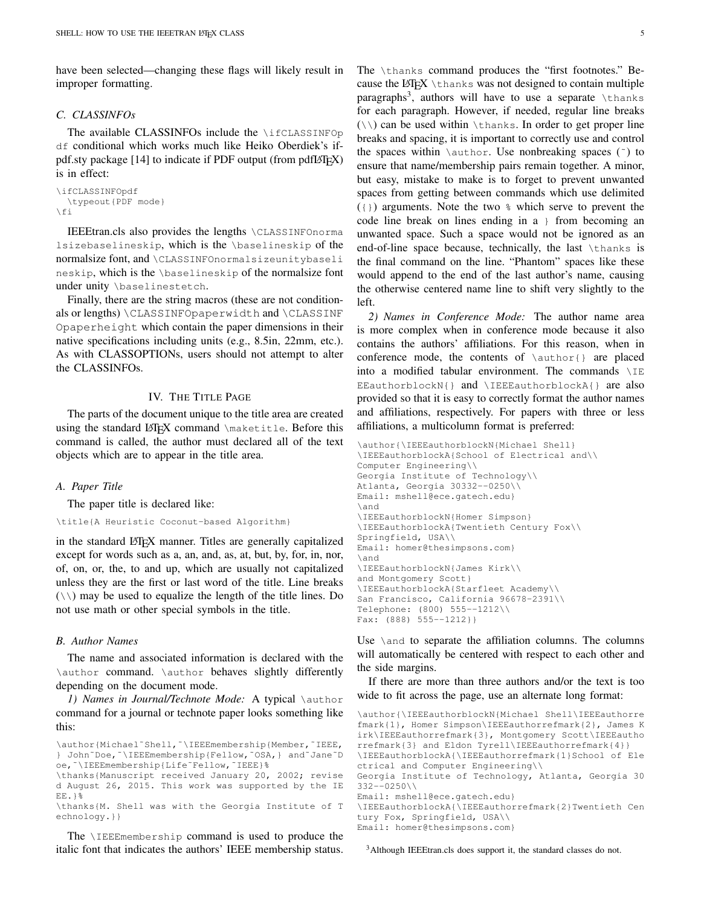have been selected—changing these flags will likely result in improper formatting.

#### *C. CLASSINFOs*

The available CLASSINFOs include the **\ifCLASSINFOp** df conditional which works much like Heiko Oberdiek's if-pdf.sty package [\[14\]](#page-27-1) to indicate if PDF output (from pdfLAT<sub>EX</sub>) is in effect:

```
\ifCLASSINFOpdf
     \typeout{PDF mode}
\left\{ \begin{array}{c} f & f \\ f & g \end{array} \right\}
```
IEEEtran.cls also provides the lengths \CLASSINFOnorma lsizebaselineskip, which is the \baselineskip of the normalsize font, and \CLASSINFOnormalsizeunitybaseli neskip, which is the \baselineskip of the normalsize font under unity \baselinestetch.

Finally, there are the string macros (these are not conditionals or lengths) \CLASSINFOpaperwidth and \CLASSINF Opaperheight which contain the paper dimensions in their native specifications including units (e.g., 8.5in, 22mm, etc.). As with CLASSOPTIONs, users should not attempt to alter the CLASSINFOs.

## IV. THE TITLE PAGE

The parts of the document unique to the title area are created using the standard LATEX command \maketitle. Before this command is called, the author must declared all of the text objects which are to appear in the title area.

#### *A. Paper Title*

The paper title is declared like:

\title{A Heuristic Coconut-based Algorithm}

in the standard LATEX manner. Titles are generally capitalized except for words such as a, an, and, as, at, but, by, for, in, nor, of, on, or, the, to and up, which are usually not capitalized unless they are the first or last word of the title. Line breaks  $(\setminus)$  may be used to equalize the length of the title lines. Do not use math or other special symbols in the title.

#### *B. Author Names*

The name and associated information is declared with the \author command. \author behaves slightly differently depending on the document mode.

<span id="page-4-2"></span>*1) Names in Journal/Technote Mode:* A typical \author command for a journal or technote paper looks something like this:

```
\author{Michael˜Shell,˜\IEEEmembership{Member,˜IEEE,
} John˜Doe,˜\IEEEmembership{Fellow,˜OSA,} and˜Jane˜D
oe,˜\IEEEmembership{Life˜Fellow,˜IEEE}%
```

```
\thanks{Manuscript received January 20, 2002; revise
d August 26, 2015. This work was supported by the IE
EE.}%
```
\thanks{M. Shell was with the Georgia Institute of T echnology.}}

The \IEEEmembership command is used to produce the italic font that indicates the authors' IEEE membership status. The \thanks command produces the "first footnotes." Because the LAT<sub>EX</sub> \thanks was not designed to contain multiple paragraphs<sup>[3](#page-4-1)</sup>, authors will have to use a separate  $\theta$  thanks for each paragraph. However, if needed, regular line breaks  $(\wedge)$  can be used within  $\theta$ shanks. In order to get proper line breaks and spacing, it is important to correctly use and control the spaces within  $\lambda$ uthor. Use nonbreaking spaces ( $\tilde{\ }$ ) to ensure that name/membership pairs remain together. A minor, but easy, mistake to make is to forget to prevent unwanted spaces from getting between commands which use delimited  $(1)$  arguments. Note the two  $\frac{1}{2}$  which serve to prevent the code line break on lines ending in a } from becoming an unwanted space. Such a space would not be ignored as an end-of-line space because, technically, the last \thanks is the final command on the line. "Phantom" spaces like these would append to the end of the last author's name, causing the otherwise centered name line to shift very slightly to the left.

<span id="page-4-0"></span>*2) Names in Conference Mode:* The author name area is more complex when in conference mode because it also contains the authors' affiliations. For this reason, when in conference mode, the contents of \author{} are placed into a modified tabular environment. The commands  $\setminus$ IE EEauthorblockN{} and \IEEEauthorblockA{} are also provided so that it is easy to correctly format the author names and affiliations, respectively. For papers with three or less affiliations, a multicolumn format is preferred:

```
\author{\IEEEauthorblockN{Michael Shell}
\IEEEauthorblockA{School of Electrical and\\
Computer Engineering\\
Georgia Institute of Technology\\
Atlanta, Georgia 30332--0250\\
Email: mshell@ece.gatech.edu}
\and
\IEEEauthorblockN{Homer Simpson}
\IEEEauthorblockA{Twentieth Century Fox\\
Springfield, USA\\
Email: homer@thesimpsons.com}
\and
\IEEEauthorblockN{James Kirk\\
and Montgomery Scott}
\IEEEauthorblockA{Starfleet Academy\\
San Francisco, California 96678-2391\\
Telephone: (800) 555--1212\\
Fax: (888) 555--1212}}
```
Use *\and to separate the affiliation columns*. The columns will automatically be centered with respect to each other and the side margins.

If there are more than three authors and/or the text is too wide to fit across the page, use an alternate long format:

```
\author{\IEEEauthorblockN{Michael Shell\IEEEauthorre
fmark{1}, Homer Simpson\IEEEauthorrefmark{2}, James K
irk\IEEEauthorrefmark{3}, Montgomery Scott\IEEEautho
rrefmark{3} and Eldon Tyrell\IEEEauthorrefmark{4}}
\IEEEauthorblockA{\IEEEauthorrefmark{1}School of Ele
ctrical and Computer Engineering\\
Georgia Institute of Technology, Atlanta, Georgia 30
332--0250\{\}Email: mshell@ece.gatech.edu}
\IEEEauthorblockA{\IEEEauthorrefmark{2}Twentieth Cen
```
tury Fox, Springfield, USA\\ Email: homer@thesimpsons.com}

<span id="page-4-1"></span><sup>3</sup>Although IEEEtran.cls does support it, the standard classes do not.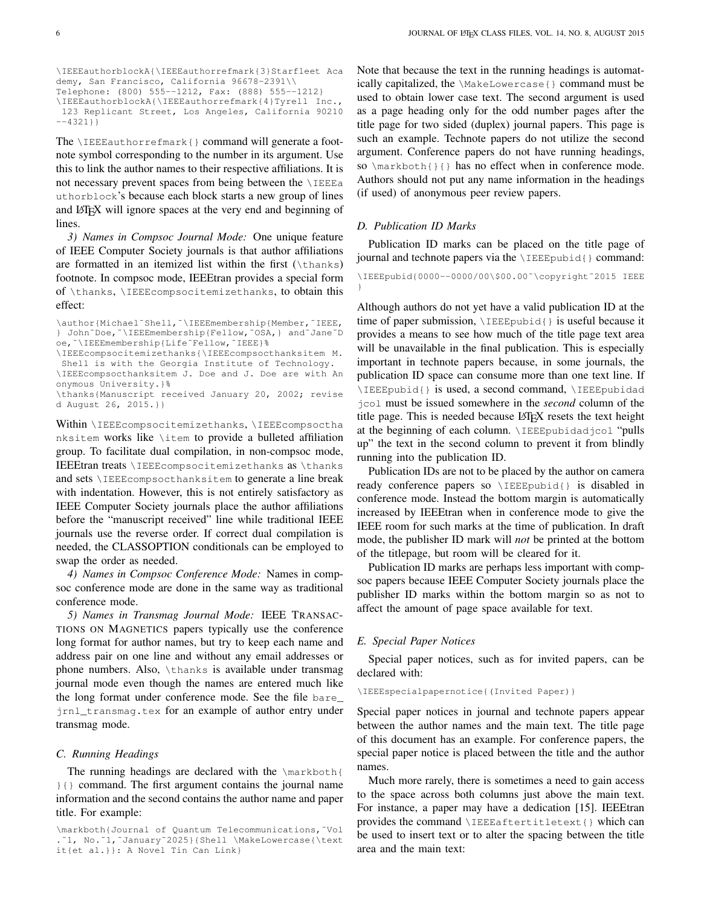```
\IEEEauthorblockA{\IEEEauthorrefmark{3}Starfleet Aca
demy, San Francisco, California 96678-2391\\
Telephone: (800) 555--1212, Fax: (888) 555--1212}
\IEEEauthorblockA{\IEEEauthorrefmark{4}Tyrell Inc.,
```
123 Replicant Street, Los Angeles, California 90210 --4321}}

The \IEEEauthorrefmark{} command will generate a footnote symbol corresponding to the number in its argument. Use this to link the author names to their respective affiliations. It is not necessary prevent spaces from being between the \IEEEa uthorblock's because each block starts a new group of lines and LAT<sub>E</sub>X will ignore spaces at the very end and beginning of lines.

*3) Names in Compsoc Journal Mode:* One unique feature of IEEE Computer Society journals is that author affiliations are formatted in an itemized list within the first  $(\theta)$ footnote. In compsoc mode, IEEEtran provides a special form of \thanks, \IEEEcompsocitemizethanks, to obtain this effect:

\author{Michael˜Shell,˜\IEEEmembership{Member,˜IEEE, } John˜Doe,˜\IEEEmembership{Fellow,˜OSA,} and˜Jane˜D oe,˜\IEEEmembership{Life˜Fellow,˜IEEE}%

\IEEEcompsocitemizethanks{\IEEEcompsocthanksitem M. Shell is with the Georgia Institute of Technology.

\IEEEcompsocthanksitem J. Doe and J. Doe are with An onymous University.}%

\thanks{Manuscript received January 20, 2002; revise d August 26, 2015.}}

Within \IEEEcompsocitemizethanks, \IEEEcompsoctha nksitem works like \item to provide a bulleted affiliation group. To facilitate dual compilation, in non-compsoc mode, IEEEtran treats \IEEEcompsocitemizethanks as \thanks and sets \IEEEcompsocthanksitem to generate a line break with indentation. However, this is not entirely satisfactory as IEEE Computer Society journals place the author affiliations before the "manuscript received" line while traditional IEEE journals use the reverse order. If correct dual compilation is needed, the CLASSOPTION conditionals can be employed to swap the order as needed.

*4) Names in Compsoc Conference Mode:* Names in compsoc conference mode are done in the same way as traditional conference mode.

*5) Names in Transmag Journal Mode:* IEEE TRANSAC-TIONS ON MAGNETICS papers typically use the conference long format for author names, but try to keep each name and address pair on one line and without any email addresses or phone numbers. Also, \thanks is available under transmag journal mode even though the names are entered much like the long format under conference mode. See the file bare\_ jrnl\_transmag.tex for an example of author entry under transmag mode.

#### *C. Running Headings*

The running headings are declared with the \markboth{ }{} command. The first argument contains the journal name information and the second contains the author name and paper title. For example:

Note that because the text in the running headings is automatically capitalized, the \MakeLowercase{} command must be used to obtain lower case text. The second argument is used as a page heading only for the odd number pages after the title page for two sided (duplex) journal papers. This page is such an example. Technote papers do not utilize the second argument. Conference papers do not have running headings, so \markboth{}{} has no effect when in conference mode. Authors should not put any name information in the headings (if used) of anonymous peer review papers.

#### *D. Publication ID Marks*

Publication ID marks can be placed on the title page of journal and technote papers via the \IEEEpubid{} command:

\IEEEpubid{0000--0000/00\\$00.00˜\copyright˜2015 IEEE }

Although authors do not yet have a valid publication ID at the time of paper submission, \IEEEpubid{} is useful because it provides a means to see how much of the title page text area will be unavailable in the final publication. This is especially important in technote papers because, in some journals, the publication ID space can consume more than one text line. If \IEEEpubid{} is used, a second command, \IEEEpubidad jcol must be issued somewhere in the *second* column of the title page. This is needed because LATEX resets the text height at the beginning of each column. \IEEEpubidadjcol "pulls up" the text in the second column to prevent it from blindly running into the publication ID.

Publication IDs are not to be placed by the author on camera ready conference papers so \IEEEpubid{} is disabled in conference mode. Instead the bottom margin is automatically increased by IEEEtran when in conference mode to give the IEEE room for such marks at the time of publication. In draft mode, the publisher ID mark will *not* be printed at the bottom of the titlepage, but room will be cleared for it.

Publication ID marks are perhaps less important with compsoc papers because IEEE Computer Society journals place the publisher ID marks within the bottom margin so as not to affect the amount of page space available for text.

#### *E. Special Paper Notices*

Special paper notices, such as for invited papers, can be declared with:

\IEEEspecialpapernotice{(Invited Paper)}

Special paper notices in journal and technote papers appear between the author names and the main text. The title page of this document has an example. For conference papers, the special paper notice is placed between the title and the author names.

Much more rarely, there is sometimes a need to gain access to the space across both columns just above the main text. For instance, a paper may have a dedication [\[15\]](#page-27-2). IEEEtran provides the command \IEEEaftertitletext{} which can be used to insert text or to alter the spacing between the title area and the main text:

<sup>\</sup>markboth{Journal of Quantum Telecommunications,˜Vol .˜1, No.˜1,˜January˜2025}{Shell \MakeLowercase{\text it{et al.}}: A Novel Tin Can Link}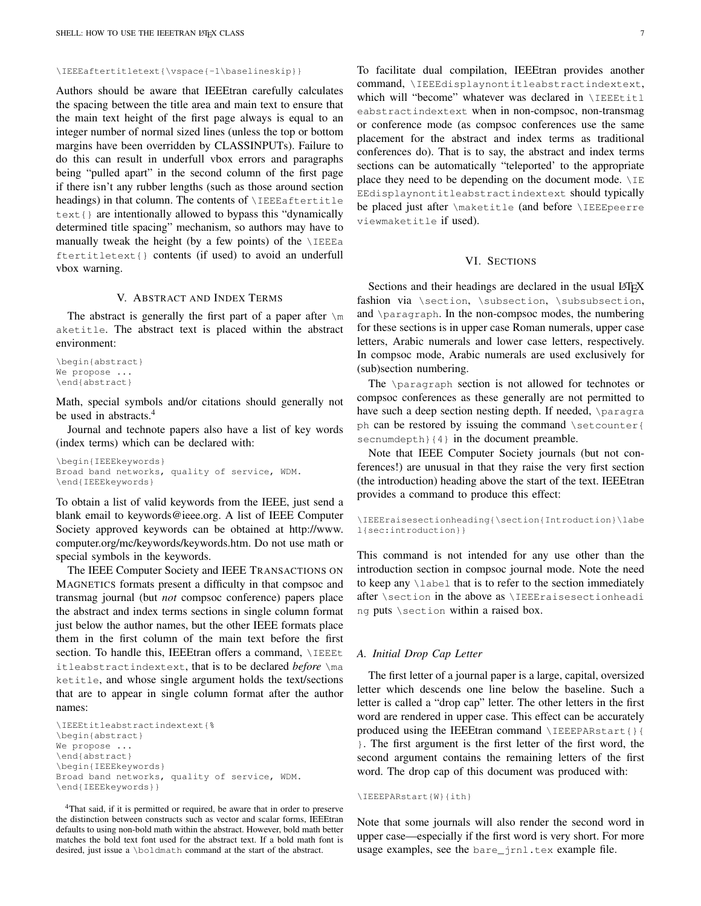\IEEEaftertitletext{\vspace{-1\baselineskip}}

Authors should be aware that IEEEtran carefully calculates the spacing between the title area and main text to ensure that the main text height of the first page always is equal to an integer number of normal sized lines (unless the top or bottom margins have been overridden by CLASSINPUTs). Failure to do this can result in underfull vbox errors and paragraphs being "pulled apart" in the second column of the first page if there isn't any rubber lengths (such as those around section headings) in that column. The contents of \IEEEaftertitle text{} are intentionally allowed to bypass this "dynamically determined title spacing" mechanism, so authors may have to manually tweak the height (by a few points) of the  $\angle$ IEEEa ftertitletext{} contents (if used) to avoid an underfull vbox warning.

#### V. ABSTRACT AND INDEX TERMS

<span id="page-6-0"></span>The abstract is generally the first part of a paper after  $\mathbb{R}^m$ aketitle. The abstract text is placed within the abstract environment:

```
\begin{abstract}
We propose ...
\end{abstract}
```
Math, special symbols and/or citations should generally not be used in abstracts.<sup>[4](#page-6-1)</sup>

Journal and technote papers also have a list of key words (index terms) which can be declared with:

\begin{IEEEkeywords} Broad band networks, quality of service, WDM. \end{IEEEkeywords}

To obtain a list of valid keywords from the IEEE, just send a blank email to keywords@ieee.org. A list of IEEE Computer Society approved keywords can be obtained at [http://www.](http://www.computer.org/mc/keywords/keywords.htm) [computer.org/mc/keywords/keywords.htm.](http://www.computer.org/mc/keywords/keywords.htm) Do not use math or special symbols in the keywords.

The IEEE Computer Society and IEEE TRANSACTIONS ON MAGNETICS formats present a difficulty in that compsoc and transmag journal (but *not* compsoc conference) papers place the abstract and index terms sections in single column format just below the author names, but the other IEEE formats place them in the first column of the main text before the first section. To handle this, IEEEtran offers a command,  $\angle$ IEEEt itleabstractindextext, that is to be declared *before* \ma ketitle, and whose single argument holds the text/sections that are to appear in single column format after the author names:

```
\IEEEtitleabstractindextext{%
\begin{abstract}
We propose ...
\end{abstract}
\begin{IEEEkeywords}
Broad band networks, quality of service, WDM.
\end{IEEEkeywords}}
```
<span id="page-6-1"></span><sup>4</sup>That said, if it is permitted or required, be aware that in order to preserve the distinction between constructs such as vector and scalar forms, IEEEtran defaults to using non-bold math within the abstract. However, bold math better matches the bold text font used for the abstract text. If a bold math font is desired, just issue a \boldmath command at the start of the abstract.

To facilitate dual compilation, IEEEtran provides another command, \IEEEdisplaynontitleabstractindextext, which will "become" whatever was declared in \IEEEtitl eabstractindextext when in non-compsoc, non-transmag or conference mode (as compsoc conferences use the same placement for the abstract and index terms as traditional conferences do). That is to say, the abstract and index terms sections can be automatically "teleported' to the appropriate place they need to be depending on the document mode.  $\angle$ IE EEdisplaynontitleabstractindextext should typically be placed just after \maketitle (and before \IEEEpeerre viewmaketitle if used).

## VI. SECTIONS

Sections and their headings are declared in the usual LATEX fashion via \section, \subsection, \subsubsection, and \paragraph. In the non-compsoc modes, the numbering for these sections is in upper case Roman numerals, upper case letters, Arabic numerals and lower case letters, respectively. In compsoc mode, Arabic numerals are used exclusively for (sub)section numbering.

The \paragraph section is not allowed for technotes or compsoc conferences as these generally are not permitted to have such a deep section nesting depth. If needed, \paragra ph can be restored by issuing the command \setcounter{ secnumdepth}{4} in the document preamble.

Note that IEEE Computer Society journals (but not conferences!) are unusual in that they raise the very first section (the introduction) heading above the start of the text. IEEEtran provides a command to produce this effect:

```
\IEEEraisesectionheading{\section{Introduction}\labe
l{sec:introduction}}
```
This command is not intended for any use other than the introduction section in compsoc journal mode. Note the need to keep any \label that is to refer to the section immediately after \section in the above as \IEEEraisesectionheadi ng puts \section within a raised box.

#### *A. Initial Drop Cap Letter*

The first letter of a journal paper is a large, capital, oversized letter which descends one line below the baseline. Such a letter is called a "drop cap" letter. The other letters in the first word are rendered in upper case. This effect can be accurately produced using the IEEEtran command \IEEEPARstart{}{ }. The first argument is the first letter of the first word, the second argument contains the remaining letters of the first word. The drop cap of this document was produced with:

```
\IEEEPARstart{W}{ith}
```
Note that some journals will also render the second word in upper case—especially if the first word is very short. For more usage examples, see the bare\_jrnl.tex example file.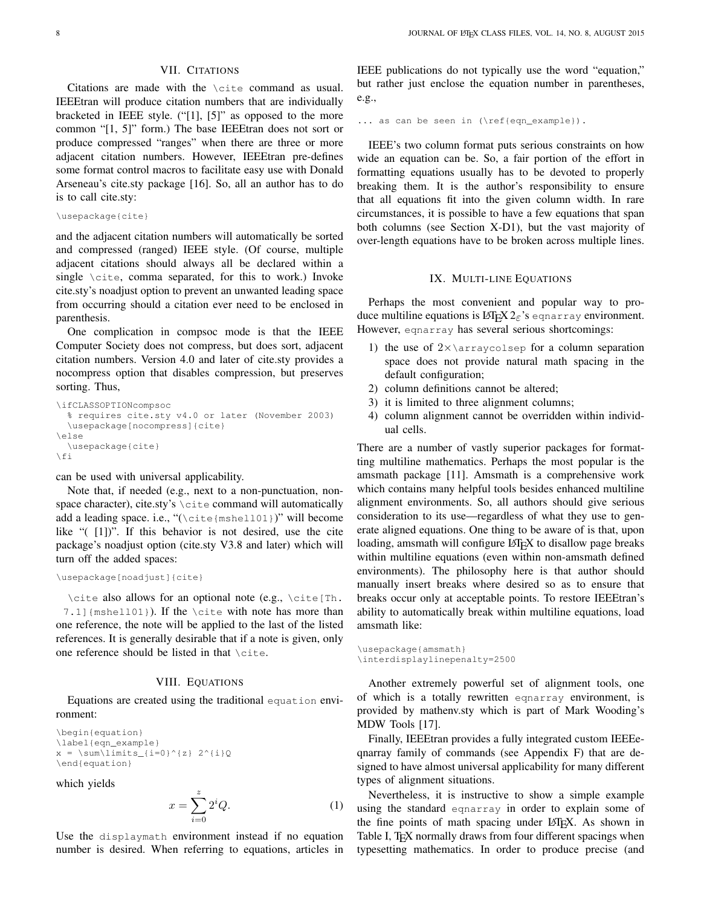## VII. CITATIONS

Citations are made with the \cite command as usual. IEEEtran will produce citation numbers that are individually bracketed in IEEE style. ("[1], [5]" as opposed to the more common "[1, 5]" form.) The base IEEEtran does not sort or produce compressed "ranges" when there are three or more adjacent citation numbers. However, IEEEtran pre-defines some format control macros to facilitate easy use with Donald Arseneau's cite.sty package [\[16\]](#page-27-3). So, all an author has to do is to call cite.sty:

```
\usepackage{cite}
```
and the adjacent citation numbers will automatically be sorted and compressed (ranged) IEEE style. (Of course, multiple adjacent citations should always all be declared within a single \cite, comma separated, for this to work.) Invoke cite.sty's noadjust option to prevent an unwanted leading space from occurring should a citation ever need to be enclosed in parenthesis.

One complication in compsoc mode is that the IEEE Computer Society does not compress, but does sort, adjacent citation numbers. Version 4.0 and later of cite.sty provides a nocompress option that disables compression, but preserves sorting. Thus,

```
\ifCLASSOPTIONcompsoc
  % requires cite.sty v4.0 or later (November 2003)
  \usepackage[nocompress]{cite}
\else
  \usepackage{cite}
\forallfi
```
can be used with universal applicability.

Note that, if needed (e.g., next to a non-punctuation, nonspace character), cite.sty's \cite command will automatically add a leading space. i.e., "(\cite{mshell01})" will become like "( [1])". If this behavior is not desired, use the cite package's noadjust option (cite.sty V3.8 and later) which will turn off the added spaces:

```
\usepackage[noadjust]{cite}
```
\cite also allows for an optional note (e.g., \cite[Th. 7.1]{mshell01}). If the \cite with note has more than one reference, the note will be applied to the last of the listed references. It is generally desirable that if a note is given, only one reference should be listed in that \cite.

#### VIII. EQUATIONS

Equations are created using the traditional equation environment:

```
\begin{equation}
\label{eqn_example}
x = \sum\limits_{i=0}^{n} 2^{i}x\end{equation}
```
which yields

$$
x = \sum_{i=0}^{z} 2^i Q. \tag{1}
$$

Use the displaymath environment instead if no equation number is desired. When referring to equations, articles in IEEE publications do not typically use the word "equation," but rather just enclose the equation number in parentheses, e.g.,

... as can be seen in (\ref{eqn\_example}).

IEEE's two column format puts serious constraints on how wide an equation can be. So, a fair portion of the effort in formatting equations usually has to be devoted to properly breaking them. It is the author's responsibility to ensure that all equations fit into the given column width. In rare circumstances, it is possible to have a few equations that span both columns (see Section [X-D1\)](#page-11-0), but the vast majority of over-length equations have to be broken across multiple lines.

#### IX. MULTI-LINE EQUATIONS

<span id="page-7-0"></span>Perhaps the most convenient and popular way to produce multiline equations is  $\mathbb{E} \mathbb{E} \mathbb{E} \mathbb{E} \mathbb{E} \mathbb{E} \mathbb{E} \mathbb{E} \mathbb{E} \mathbb{E} \mathbb{E} \mathbb{E} \mathbb{E} \mathbb{E} \mathbb{E} \mathbb{E} \mathbb{E} \mathbb{E} \mathbb{E} \mathbb{E} \mathbb{E} \mathbb{E} \mathbb{E} \mathbb{E} \mathbb{E} \mathbb{E} \mathbb{E} \mathbb{E} \mathbb{E} \mathbb{E} \mathbb{E} \mathbb{E}$ However, eqnarray has several serious shortcomings:

- 1) the use of  $2 \times \arrows$  arraycolsep for a column separation space does not provide natural math spacing in the default configuration;
- 2) column definitions cannot be altered;
- 3) it is limited to three alignment columns;
- 4) column alignment cannot be overridden within individual cells.

There are a number of vastly superior packages for formatting multiline mathematics. Perhaps the most popular is the amsmath package [\[11\]](#page-26-10). Amsmath is a comprehensive work which contains many helpful tools besides enhanced multiline alignment environments. So, all authors should give serious consideration to its use—regardless of what they use to generate aligned equations. One thing to be aware of is that, upon loading, amsmath will configure LATEX to disallow page breaks within multiline equations (even within non-amsmath defined environments). The philosophy here is that author should manually insert breaks where desired so as to ensure that breaks occur only at acceptable points. To restore IEEEtran's ability to automatically break within multiline equations, load amsmath like:

```
\usepackage{amsmath}
\interdisplaylinepenalty=2500
```
Another extremely powerful set of alignment tools, one of which is a totally rewritten eqnarray environment, is provided by mathenv.sty which is part of Mark Wooding's MDW Tools [\[17\]](#page-27-4).

Finally, IEEEtran provides a fully integrated custom IEEEeqnarray family of commands (see Appendix [F\)](#page-18-0) that are designed to have almost universal applicability for many different types of alignment situations.

Nevertheless, it is instructive to show a simple example using the standard eqnarray in order to explain some of the fine points of math spacing under LATEX. As shown in Table [I,](#page-8-0) T<sub>E</sub>X normally draws from four different spacings when typesetting mathematics. In order to produce precise (and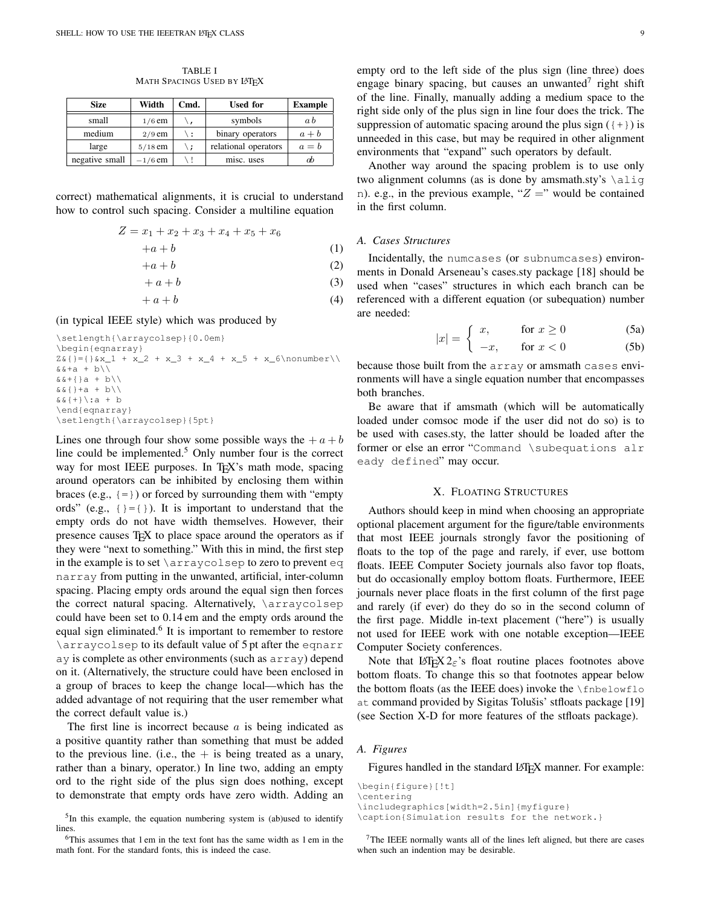TABLE I MATH SPACINGS USED BY LATEX

<span id="page-8-0"></span>

| <b>Size</b>    | Width     | Cmd. | <b>Used for</b>      | <b>Example</b> |
|----------------|-----------|------|----------------------|----------------|
| small          | $1/6$ em  |      | symbols              | a b            |
| medium         | $2/9$ em  | \:   | binary operators     | $a + b$        |
| large          | $5/18$ em | \ :  | relational operators | $a = b$        |
| negative small | $-1/6$ em |      | misc. uses           | æЬ             |

correct) mathematical alignments, it is crucial to understand how to control such spacing. Consider a multiline equation

$$
Z = x_1 + x_2 + x_3 + x_4 + x_5 + x_6
$$

$$
+a+b \tag{1}
$$

 $+a + b$  (2)

$$
+ a + b \tag{3}
$$

$$
+ a + b \tag{4}
$$

(in typical IEEE style) which was produced by

```
\setlength{\arraycolsep}{0.0em}
\begin{eqnarray}
Z_{6}{}={}&x_1 + x_2 + x_3 + x_4 + x_5 + x_6\nonumber\\
&&+a + b\\&\&+{\}a + b\backslash\&\&\{\}+a + b\}\&\&\{+\\}):a + b
\end{eqnarray}
\setlength{\arraycolsep}{5pt}
```
Lines one through four show some possible ways the  $+a+b$ line could be implemented.<sup>[5](#page-8-1)</sup> Only number four is the correct way for most IEEE purposes. In T<sub>E</sub>X's math mode, spacing around operators can be inhibited by enclosing them within braces (e.g.,  $\{=\}$ ) or forced by surrounding them with "empty" ords" (e.g.,  $\{\}=\{\}$ ). It is important to understand that the empty ords do not have width themselves. However, their presence causes T<sub>E</sub>X to place space around the operators as if they were "next to something." With this in mind, the first step in the example is to set \arraycolsep to zero to prevent eq narray from putting in the unwanted, artificial, inter-column spacing. Placing empty ords around the equal sign then forces the correct natural spacing. Alternatively, \arraycolsep could have been set to 0.14 em and the empty ords around the equal sign eliminated.<sup>[6](#page-8-2)</sup> It is important to remember to restore \arraycolsep to its default value of 5 pt after the eqnarr ay is complete as other environments (such as array) depend on it. (Alternatively, the structure could have been enclosed in a group of braces to keep the change local—which has the added advantage of not requiring that the user remember what the correct default value is.)

The first line is incorrect because  $a$  is being indicated as a positive quantity rather than something that must be added to the previous line. (i.e., the  $+$  is being treated as a unary, rather than a binary, operator.) In line two, adding an empty ord to the right side of the plus sign does nothing, except to demonstrate that empty ords have zero width. Adding an empty ord to the left side of the plus sign (line three) does engage binary spacing, but causes an unwanted<sup>[7](#page-8-3)</sup> right shift of the line. Finally, manually adding a medium space to the right side only of the plus sign in line four does the trick. The suppression of automatic spacing around the plus sign  $($ {+}) is unneeded in this case, but may be required in other alignment environments that "expand" such operators by default.

Another way around the spacing problem is to use only two alignment columns (as is done by amsmath.sty's \alig n). e.g., in the previous example, " $Z =$ " would be contained in the first column.

#### <span id="page-8-5"></span>*A. Cases Structures*

Incidentally, the numcases (or subnumcases) environments in Donald Arseneau's cases.sty package [\[18\]](#page-27-5) should be used when "cases" structures in which each branch can be referenced with a different equation (or subequation) number are needed:

$$
|x| = \int x, \qquad \text{for } x \ge 0 \tag{5a}
$$

$$
\begin{array}{ll}\n\left| \begin{array}{c}\n \cdots \\
 \end{array} \right| & -x, \qquad \text{for } x < 0\n\end{array}\n\tag{5b}
$$

because those built from the array or amsmath cases environments will have a single equation number that encompasses both branches.

Be aware that if amsmath (which will be automatically loaded under comsoc mode if the user did not do so) is to be used with cases.sty, the latter should be loaded after the former or else an error "Command \subequations alr eady defined" may occur.

## X. FLOATING STRUCTURES

Authors should keep in mind when choosing an appropriate optional placement argument for the figure/table environments that most IEEE journals strongly favor the positioning of floats to the top of the page and rarely, if ever, use bottom floats. IEEE Computer Society journals also favor top floats, but do occasionally employ bottom floats. Furthermore, IEEE journals never place floats in the first column of the first page and rarely (if ever) do they do so in the second column of the first page. Middle in-text placement ("here") is usually not used for IEEE work with one notable exception—IEEE Computer Society conferences.

Note that  $\mathbb{E} \mathbb{E} \{X \}_{\varepsilon}$ 's float routine places footnotes above bottom floats. To change this so that footnotes appear below the bottom floats (as the IEEE does) invoke the  $\theta$ at command provided by Sigitas Tolušis' stfloats package [\[19\]](#page-27-6) (see Section [X-D](#page-10-0) for more features of the stfloats package).

#### <span id="page-8-4"></span>*A. Figures*

Figures handled in the standard LATEX manner. For example:

```
\begin{figure}[!t]
\centering
\includegraphics[width=2.5in]{myfigure}
\caption{Simulation results for the network.}
```
<span id="page-8-1"></span><sup>&</sup>lt;sup>5</sup>In this example, the equation numbering system is (ab)used to identify lines.

<span id="page-8-2"></span><sup>6</sup>This assumes that 1 em in the text font has the same width as 1 em in the math font. For the standard fonts, this is indeed the case.

<span id="page-8-3"></span><sup>&</sup>lt;sup>7</sup>The IEEE normally wants all of the lines left aligned, but there are cases when such an indention may be desirable.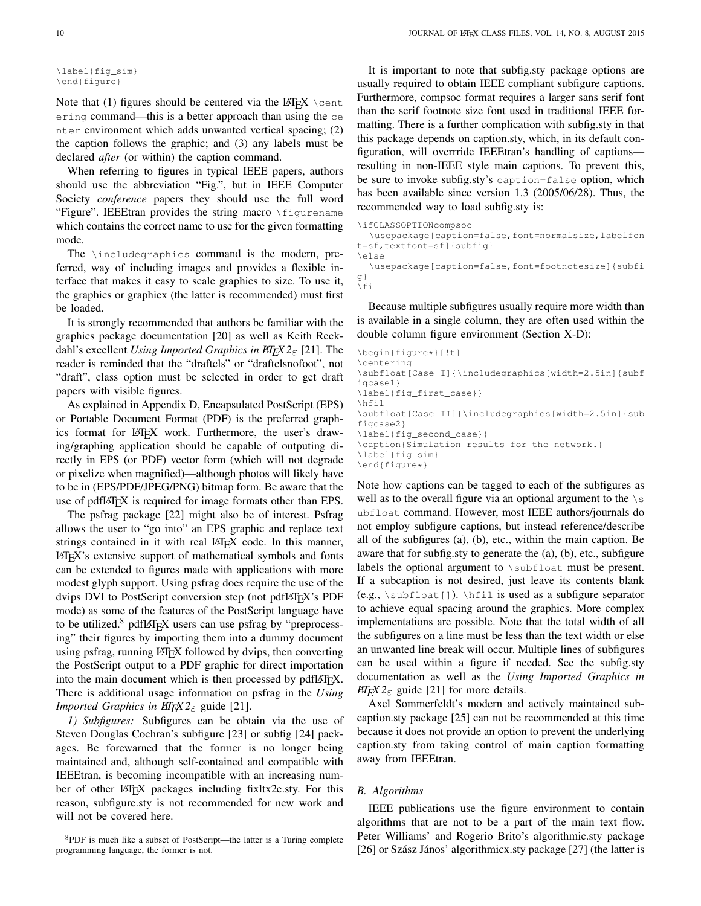```
\label{fig_sim}
\end{figure}
```
Note that (1) figures should be centered via the LAT<sub>EX</sub>  $\setminus$  cent ering command—this is a better approach than using the ce nter environment which adds unwanted vertical spacing; (2) the caption follows the graphic; and (3) any labels must be declared *after* (or within) the caption command.

When referring to figures in typical IEEE papers, authors should use the abbreviation "Fig.", but in IEEE Computer Society *conference* papers they should use the full word "Figure". IEEEtran provides the string macro \figurename which contains the correct name to use for the given formatting mode.

The \includegraphics command is the modern, preferred, way of including images and provides a flexible interface that makes it easy to scale graphics to size. To use it, the graphics or graphicx (the latter is recommended) must first be loaded.

It is strongly recommended that authors be familiar with the graphics package documentation [\[20\]](#page-27-7) as well as Keith Reckdahl's excellent *Using Imported Graphics in LATEX 2*ε [\[21\]](#page-27-8). The reader is reminded that the "draftcls" or "draftclsnofoot", not "draft", class option must be selected in order to get draft papers with visible figures.

As explained in Appendix [D,](#page-17-0) Encapsulated PostScript (EPS) or Portable Document Format (PDF) is the preferred graphics format for LATEX work. Furthermore, the user's drawing/graphing application should be capable of outputing directly in EPS (or PDF) vector form (which will not degrade or pixelize when magnified)—although photos will likely have to be in (EPS/PDF/JPEG/PNG) bitmap form. Be aware that the use of pdfLAT<sub>EX</sub> is required for image formats other than EPS.

The psfrag package [\[22\]](#page-27-9) might also be of interest. Psfrag allows the user to "go into" an EPS graphic and replace text strings contained in it with real LATEX code. In this manner, LATEX's extensive support of mathematical symbols and fonts can be extended to figures made with applications with more modest glyph support. Using psfrag does require the use of the dvips DVI to PostScript conversion step (not pdfLATEX's PDF mode) as some of the features of the PostScript language have to be utilized.<sup>[8](#page-9-0)</sup> pdfL<sub>F</sub>X users can use psfrag by "preprocessing" their figures by importing them into a dummy document using psfrag, running LAT<sub>EX</sub> followed by dvips, then converting the PostScript output to a PDF graphic for direct importation into the main document which is then processed by pdfLATEX. There is additional usage information on psfrag in the *Using Imported Graphics in*  $E/F_X^X2_{\epsilon}$  *guide [\[21\]](#page-27-8).* 

*1) Subfigures:* Subfigures can be obtain via the use of Steven Douglas Cochran's subfigure [\[23\]](#page-27-10) or subfig [\[24\]](#page-27-11) packages. Be forewarned that the former is no longer being maintained and, although self-contained and compatible with IEEEtran, is becoming incompatible with an increasing number of other LATEX packages including fixltx2e.sty. For this reason, subfigure.sty is not recommended for new work and will not be covered here.

<span id="page-9-0"></span><sup>8</sup>PDF is much like a subset of PostScript—the latter is a Turing complete programming language, the former is not.

It is important to note that subfig.sty package options are usually required to obtain IEEE compliant subfigure captions. Furthermore, compsoc format requires a larger sans serif font than the serif footnote size font used in traditional IEEE formatting. There is a further complication with subfig.sty in that this package depends on caption.sty, which, in its default configuration, will overrride IEEEtran's handling of captions resulting in non-IEEE style main captions. To prevent this, be sure to invoke subfig.sty's caption=false option, which has been available since version 1.3 (2005/06/28). Thus, the recommended way to load subfig.sty is:

```
\ifCLASSOPTIONcompsoc
  \usepackage[caption=false,font=normalsize,labelfon
t=sf,textfont=sf]{subfig}
\else
  \usepackage[caption=false,font=footnotesize]{subfi
g}
```
Because multiple subfigures usually require more width than is available in a single column, they are often used within the double column figure environment (Section [X-D\)](#page-10-0):

```
\begin{figure*}[!t]
\centering
\subfloat[Case I]{\includegraphics[width=2.5in]{subf
igcase1}
\label{fig_first_case}}
\hfil
\subfloat[Case II]{\includegraphics[width=2.5in]{sub
figcase2}
\label{fig_second_case}}
\caption{Simulation results for the network.}
\label{fig_sim}
\end{figure*}
```
Note how captions can be tagged to each of the subfigures as well as to the overall figure via an optional argument to the  $\setminus s$ ubfloat command. However, most IEEE authors/journals do not employ subfigure captions, but instead reference/describe all of the subfigures (a), (b), etc., within the main caption. Be aware that for subfig.sty to generate the (a), (b), etc., subfigure labels the optional argument to \subfloat must be present. If a subcaption is not desired, just leave its contents blank (e.g., \subfloat[]). \hfil is used as a subfigure separator to achieve equal spacing around the graphics. More complex implementations are possible. Note that the total width of all the subfigures on a line must be less than the text width or else an unwanted line break will occur. Multiple lines of subfigures can be used within a figure if needed. See the subfig.sty documentation as well as the *Using Imported Graphics in LIFX*  $2\varepsilon$  guide [\[21\]](#page-27-8) for more details.

Axel Sommerfeldt's modern and actively maintained subcaption.sty package [\[25\]](#page-27-12) can not be recommended at this time because it does not provide an option to prevent the underlying caption.sty from taking control of main caption formatting away from IEEEtran.

## *B. Algorithms*

\fi

IEEE publications use the figure environment to contain algorithms that are not to be a part of the main text flow. Peter Williams' and Rogerio Brito's algorithmic.sty package [\[26\]](#page-27-13) or Szász János' algorithmicx.sty package [\[27\]](#page-27-14) (the latter is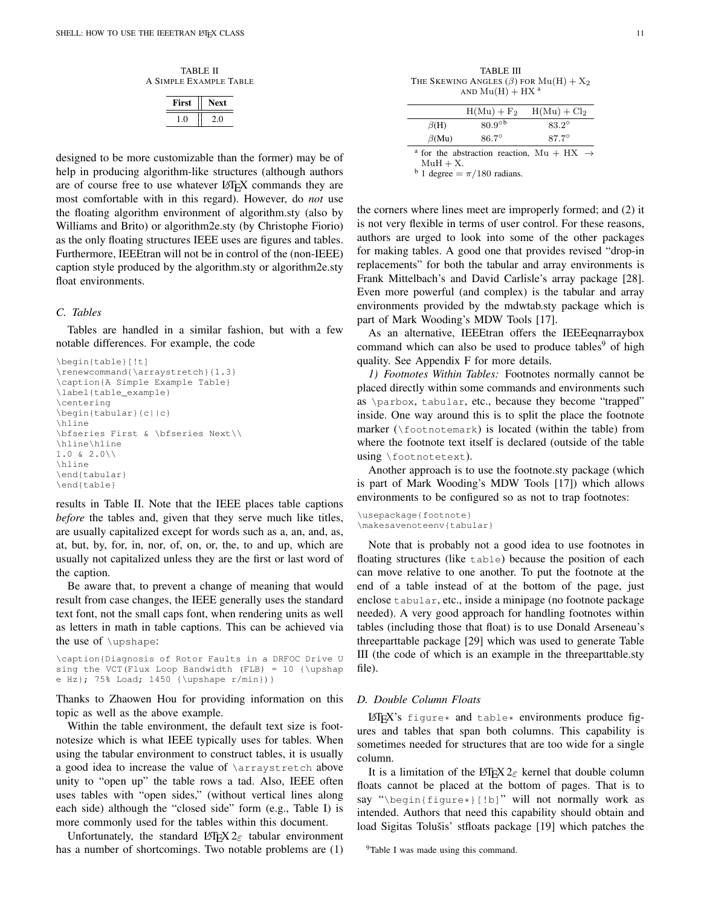TABLE II A SIMPLE EXAMPLE TABLE

| First | ext |
|-------|-----|
|       |     |

<span id="page-10-1"></span>designed to be more customizable than the former) may be of help in producing algorithm-like structures (although authors are of course free to use whatever LATEX commands they are most comfortable with in this regard). However, do *not* use the floating algorithm environment of algorithm.sty (also by Williams and Brito) or algorithm2e.sty (by Christophe Fiorio) as the only floating structures IEEE uses are figures and tables. Furthermore, IEEEtran will not be in control of the (non-IEEE) caption style produced by the algorithm.sty or algorithm2e.sty float environments.

#### *C. Tables*

Tables are handled in a similar fashion, but with a few notable differences. For example, the code

```
\begin{table}[!t]
\renewcommand{\arraystretch}{1.3}
\caption{A Simple Example Table}
\label{table_example}
\centering
\begin{tabular}{c||c}
\hline
\bfseries First & \bfseries Next\\
\hline\hline
1.0 & 2.0\\
\hline
\end{tabular}
\end{table}
```
results in Table [II.](#page-10-1) Note that the IEEE places table captions *before* the tables and, given that they serve much like titles, are usually capitalized except for words such as a, an, and, as, at, but, by, for, in, nor, of, on, or, the, to and up, which are usually not capitalized unless they are the first or last word of the caption.

Be aware that, to prevent a change of meaning that would result from case changes, the IEEE generally uses the standard text font, not the small caps font, when rendering units as well as letters in math in table captions. This can be achieved via the use of \upshape:

```
\caption{Diagnosis of Rotor Faults in a DRFOC Drive U
sing the VCT (Flux Loop Bandwidth (FLB) = 10 {\upshap
e Hz}; 75% Load; 1450 {\upshape r/min})}
```
Thanks to Zhaowen Hou for providing information on this topic as well as the above example.

Within the table environment, the default text size is footnotesize which is what IEEE typically uses for tables. When using the tabular environment to construct tables, it is usually a good idea to increase the value of \arraystretch above unity to "open up" the table rows a tad. Also, IEEE often uses tables with "open sides," (without vertical lines along each side) although the "closed side" form (e.g., Table [I\)](#page-8-0) is more commonly used for the tables within this document.

Unfortunately, the standard LATEX  $2\varepsilon$  tabular environment has a number of shortcomings. Two notable problems are (1)

<span id="page-10-3"></span>TABLE III THE SKEWING ANGLES  $(\beta)$  FOR  $Mu(H) + X_2$ AND  $Mu(H) + HX^a$ 

|              | $H(Mu) + F2$ | $H(Mu) + Cl2$                                                    |
|--------------|--------------|------------------------------------------------------------------|
| $\beta(H)$   | $80.9^\circ$ | $83.2^{\circ}$                                                   |
| $\beta$ (Mu) | $86.7^\circ$ | $87.7^{\circ}$                                                   |
| ---          |              | <sup>a</sup> for the abstraction reaction, Mu + HX $\rightarrow$ |

 $MuH + X$ .

 $^{\rm b}$  1 degree  $=\pi/180$  radians.

the corners where lines meet are improperly formed; and (2) it is not very flexible in terms of user control. For these reasons, authors are urged to look into some of the other packages for making tables. A good one that provides revised "drop-in replacements" for both the tabular and array environments is Frank Mittelbach's and David Carlisle's array package [\[28\]](#page-27-15). Even more powerful (and complex) is the tabular and array environments provided by the mdwtab.sty package which is part of Mark Wooding's MDW Tools [\[17\]](#page-27-4).

As an alternative, IEEEtran offers the IEEEeqnarraybox command which can also be used to produce tables<sup>[9](#page-10-2)</sup> of high quality. See Appendix [F](#page-18-0) for more details.

*1) Footnotes Within Tables:* Footnotes normally cannot be placed directly within some commands and environments such as \parbox, tabular, etc., because they become "trapped" inside. One way around this is to split the place the footnote marker  $(\text{footmorphism})$  is located (within the table) from where the footnote text itself is declared (outside of the table using \footnotetext).

Another approach is to use the footnote.sty package (which is part of Mark Wooding's MDW Tools [\[17\]](#page-27-4)) which allows environments to be configured so as not to trap footnotes:

```
\usepackage{footnote}
\makesavenoteenv{tabular}
```
Note that is probably not a good idea to use footnotes in floating structures (like table) because the position of each can move relative to one another. To put the footnote at the end of a table instead of at the bottom of the page, just enclose tabular, etc., inside a minipage (no footnote package needed). A very good approach for handling footnotes within tables (including those that float) is to use Donald Arseneau's threeparttable package [\[29\]](#page-27-16) which was used to generate Table [III](#page-10-3) (the code of which is an example in the threeparttable.sty file).

#### <span id="page-10-0"></span>*D. Double Column Floats*

LATEX's figure\* and table\* environments produce figures and tables that span both columns. This capability is sometimes needed for structures that are too wide for a single column.

It is a limitation of the LAT<sub>E</sub>X 2<sub>ε</sub> kernel that double column floats cannot be placed at the bottom of pages. That is to say "\begin{figure\*}[!b]" will not normally work as intended. Authors that need this capability should obtain and load Sigitas Tolušis' stfloats package [\[19\]](#page-27-6) which patches the

<span id="page-10-2"></span><sup>9</sup>Table [I](#page-8-0) was made using this command.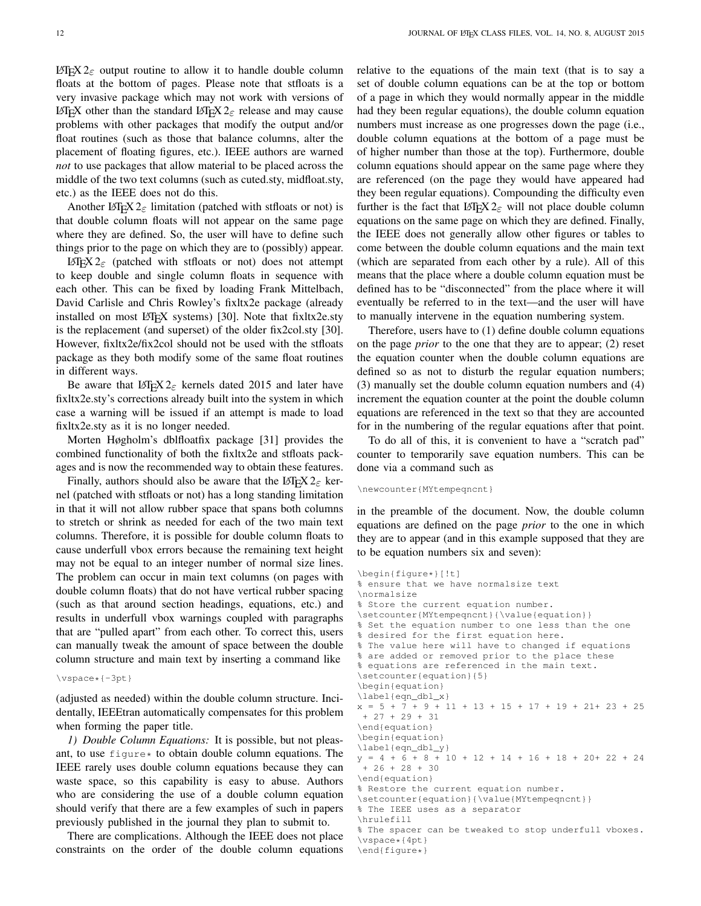LAT<sub>E</sub>X 2<sub>ε</sub> output routine to allow it to handle double column floats at the bottom of pages. Please note that stfloats is a very invasive package which may not work with versions of LAT<sub>EX</sub> other than the standard LAT<sub>EX</sub> 2<sub> $\epsilon$ </sub> release and may cause problems with other packages that modify the output and/or float routines (such as those that balance columns, alter the placement of floating figures, etc.). IEEE authors are warned *not* to use packages that allow material to be placed across the middle of the two text columns (such as cuted.sty, midfloat.sty, etc.) as the IEEE does not do this.

Another L<sub>4</sub>T<sub>E</sub>X 2<sub> $\epsilon$ </sub> limitation (patched with stfloats or not) is that double column floats will not appear on the same page where they are defined. So, the user will have to define such things prior to the page on which they are to (possibly) appear.

LAT<sub>E</sub>X 2<sub>ε</sub> (patched with stfloats or not) does not attempt to keep double and single column floats in sequence with each other. This can be fixed by loading Frank Mittelbach, David Carlisle and Chris Rowley's fixltx2e package (already installed on most  $\text{LATEX}$  systems) [\[30\]](#page-27-17). Note that fixltx2e.sty is the replacement (and superset) of the older fix2col.sty [\[30\]](#page-27-17). However, fixltx2e/fix2col should not be used with the stfloats package as they both modify some of the same float routines in different ways.

Be aware that LAT<sub>EX</sub>  $2 \epsilon$  kernels dated 2015 and later have fixltx2e.sty's corrections already built into the system in which case a warning will be issued if an attempt is made to load fixltx2e.sty as it is no longer needed.

Morten Høgholm's dblfloatfix package [\[31\]](#page-27-18) provides the combined functionality of both the fixltx2e and stfloats packages and is now the recommended way to obtain these features.

Finally, authors should also be aware that the LATEX  $2\varepsilon$  kernel (patched with stfloats or not) has a long standing limitation in that it will not allow rubber space that spans both columns to stretch or shrink as needed for each of the two main text columns. Therefore, it is possible for double column floats to cause underfull vbox errors because the remaining text height may not be equal to an integer number of normal size lines. The problem can occur in main text columns (on pages with double column floats) that do not have vertical rubber spacing (such as that around section headings, equations, etc.) and results in underfull vbox warnings coupled with paragraphs that are "pulled apart" from each other. To correct this, users can manually tweak the amount of space between the double column structure and main text by inserting a command like

#### \vspace\*{-3pt}

(adjusted as needed) within the double column structure. Incidentally, IEEEtran automatically compensates for this problem when forming the paper title.

<span id="page-11-0"></span>*1) Double Column Equations:* It is possible, but not pleasant, to use  $f_{\text{figure}} \star$  to obtain double column equations. The IEEE rarely uses double column equations because they can waste space, so this capability is easy to abuse. Authors who are considering the use of a double column equation should verify that there are a few examples of such in papers previously published in the journal they plan to submit to.

There are complications. Although the IEEE does not place constraints on the order of the double column equations relative to the equations of the main text (that is to say a set of double column equations can be at the top or bottom of a page in which they would normally appear in the middle had they been regular equations), the double column equation numbers must increase as one progresses down the page (i.e., double column equations at the bottom of a page must be of higher number than those at the top). Furthermore, double column equations should appear on the same page where they are referenced (on the page they would have appeared had they been regular equations). Compounding the difficulty even further is the fact that  $L^{\text{H}}E_{\text{E}} \times 2_{\varepsilon}$  will not place double column equations on the same page on which they are defined. Finally, the IEEE does not generally allow other figures or tables to come between the double column equations and the main text (which are separated from each other by a rule). All of this means that the place where a double column equation must be defined has to be "disconnected" from the place where it will eventually be referred to in the text—and the user will have to manually intervene in the equation numbering system.

Therefore, users have to (1) define double column equations on the page *prior* to the one that they are to appear; (2) reset the equation counter when the double column equations are defined so as not to disturb the regular equation numbers; (3) manually set the double column equation numbers and (4) increment the equation counter at the point the double column equations are referenced in the text so that they are accounted for in the numbering of the regular equations after that point.

To do all of this, it is convenient to have a "scratch pad" counter to temporarily save equation numbers. This can be done via a command such as

#### \newcounter{MYtempeqncnt}

in the preamble of the document. Now, the double column equations are defined on the page *prior* to the one in which they are to appear (and in this example supposed that they are to be equation numbers six and seven):

```
\begin{figure*}[!t]
% ensure that we have normalsize text
\normalsize
% Store the current equation number.
\setcounter{MYtempeqncnt}{\value{equation}}
% Set the equation number to one less than the one
% desired for the first equation here.
% The value here will have to changed if equations
% are added or removed prior to the place these
% equations are referenced in the main text.
\setcounter{equation}{5}
\begin{equation}
\label{eqn_dbl_x}
x = 5 + 7 + 9 + 11 + 13 + 15 + 17 + 19 + 21 + 23 + 25+ 27 + 29 + 31
\end{equation}
\begin{equation}
\label{eqn_dbl_y}
y = 4 + 6 + 8 + 10 + 12 + 14 + 16 + 18 + 20 + 22 + 24+ 26 + 28 + 30
\end{equation}
% Restore the current equation number.
\setcounter{equation}{\value{MYtempeqncnt}}
% The IEEE uses as a separator
\hrulefill
% The spacer can be tweaked to stop underfull vboxes.
\vspace*{4pt}
\end{figure*}
```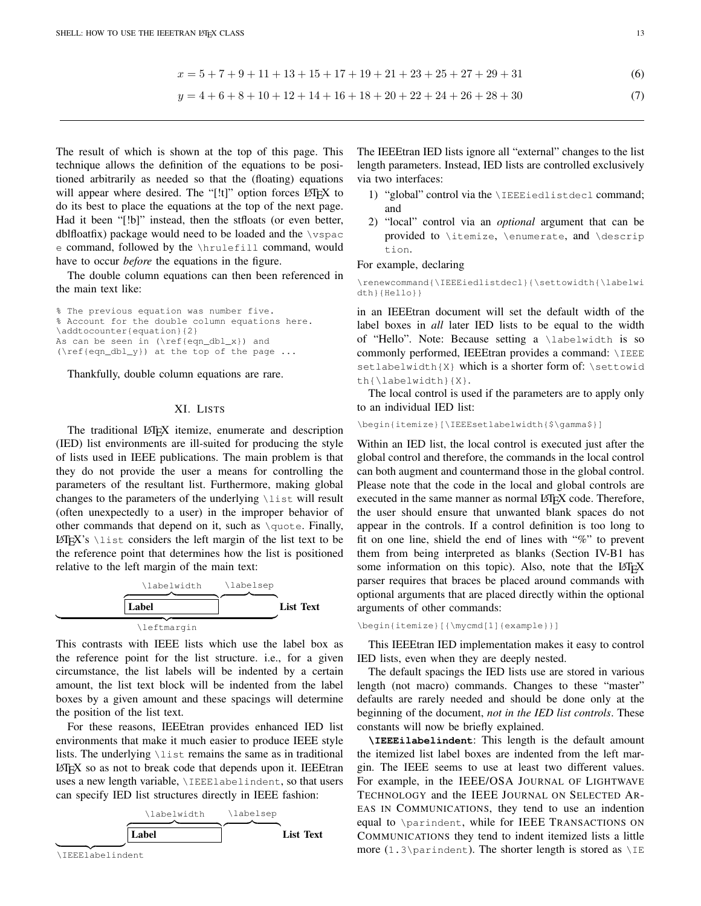$$
x = 5 + 7 + 9 + 11 + 13 + 15 + 17 + 19 + 21 + 23 + 25 + 27 + 29 + 31
$$
\n
$$
(6)
$$

$$
y = 4 + 6 + 8 + 10 + 12 + 14 + 16 + 18 + 20 + 22 + 24 + 26 + 28 + 30\tag{7}
$$

The result of which is shown at the top of this page. This technique allows the definition of the equations to be positioned arbitrarily as needed so that the (floating) equations will appear where desired. The "[!t]" option forces  $\mathbb{E} \mathbb{E} \mathbb{E} \mathbb{E} \mathbb{E} \mathbb{E} \mathbb{E} \mathbb{E} \mathbb{E} \mathbb{E} \mathbb{E} \mathbb{E} \mathbb{E} \mathbb{E} \mathbb{E} \mathbb{E} \mathbb{E} \mathbb{E} \mathbb{E} \mathbb{E} \mathbb{E} \mathbb{E} \mathbb{E} \mathbb{E} \mathbb{E} \mathbb{E} \mathbb{E} \mathbb{E}$ do its best to place the equations at the top of the next page. Had it been "[!b]" instead, then the stfloats (or even better, dblfloatfix) package would need to be loaded and the  $\vee$ spac e command, followed by the \hrulefill command, would have to occur *before* the equations in the figure.

The double column equations can then been referenced in the main text like:

% The previous equation was number five. % Account for the double column equations here. \addtocounter{equation}{2} As can be seen in (\ref{eqn\_dbl\_x}) and (\ref{eqn\_dbl\_y}) at the top of the page ...

Thankfully, double column equations are rare.

## XI. LISTS

<span id="page-12-0"></span>The traditional LAT<sub>E</sub>X itemize, enumerate and description (IED) list environments are ill-suited for producing the style of lists used in IEEE publications. The main problem is that they do not provide the user a means for controlling the parameters of the resultant list. Furthermore, making global changes to the parameters of the underlying \list will result (often unexpectedly to a user) in the improper behavior of other commands that depend on it, such as  $\quotimes$ . Finally,  $\Delta E[X]$ 's  $\langle$  list considers the left margin of the list text to be the reference point that determines how the list is positioned relative to the left margin of the main text:



This contrasts with IEEE lists which use the label box as the reference point for the list structure. i.e., for a given circumstance, the list labels will be indented by a certain amount, the list text block will be indented from the label boxes by a given amount and these spacings will determine the position of the list text.

For these reasons, IEEEtran provides enhanced IED list environments that make it much easier to produce IEEE style lists. The underlying  $\text{list}$  remains the same as in traditional LATEX so as not to break code that depends upon it. IEEEtran uses a new length variable, \IEEElabelindent, so that users can specify IED list structures directly in IEEE fashion:



The IEEEtran IED lists ignore all "external" changes to the list length parameters. Instead, IED lists are controlled exclusively via two interfaces:

- 1) "global" control via the \IEEEiedlistdecl command; and
- 2) "local" control via an *optional* argument that can be provided to \itemize, \enumerate, and \descrip tion.

#### For example, declaring

\renewcommand{\IEEEiedlistdecl}{\settowidth{\labelwi dth}{Hello}}

in an IEEEtran document will set the default width of the label boxes in *all* later IED lists to be equal to the width of "Hello". Note: Because setting a \labelwidth is so commonly performed, IEEEtran provides a command: \IEEE setlabelwidth{X} which is a shorter form of: \settowid th{\labelwidth}{X}.

The local control is used if the parameters are to apply only to an individual IED list:

\beqin{itemize}[\IEEEsetlabelwidth{\$\gamma\$}]

Within an IED list, the local control is executed just after the global control and therefore, the commands in the local control can both augment and countermand those in the global control. Please note that the code in the local and global controls are executed in the same manner as normal LAT<sub>EX</sub> code. Therefore, the user should ensure that unwanted blank spaces do not appear in the controls. If a control definition is too long to fit on one line, shield the end of lines with "%" to prevent them from being interpreted as blanks (Section [IV-B1](#page-4-2) has some information on this topic). Also, note that the LATEX parser requires that braces be placed around commands with optional arguments that are placed directly within the optional arguments of other commands:

\begin{itemize}[{\mycmd[1]{example}}]

This IEEEtran IED implementation makes it easy to control IED lists, even when they are deeply nested.

The default spacings the IED lists use are stored in various length (not macro) commands. Changes to these "master" defaults are rarely needed and should be done only at the beginning of the document, *not in the IED list controls*. These constants will now be briefly explained.

**\IEEEilabelindent**: This length is the default amount the itemized list label boxes are indented from the left margin. The IEEE seems to use at least two different values. For example, in the IEEE/OSA JOURNAL OF LIGHTWAVE TECHNOLOGY and the IEEE JOURNAL ON SELECTED AR-EAS IN COMMUNICATIONS, they tend to use an indention equal to \parindent, while for IEEE TRANSACTIONS ON COMMUNICATIONS they tend to indent itemized lists a little more (1.3\parindent). The shorter length is stored as  $\Ipsilon$ E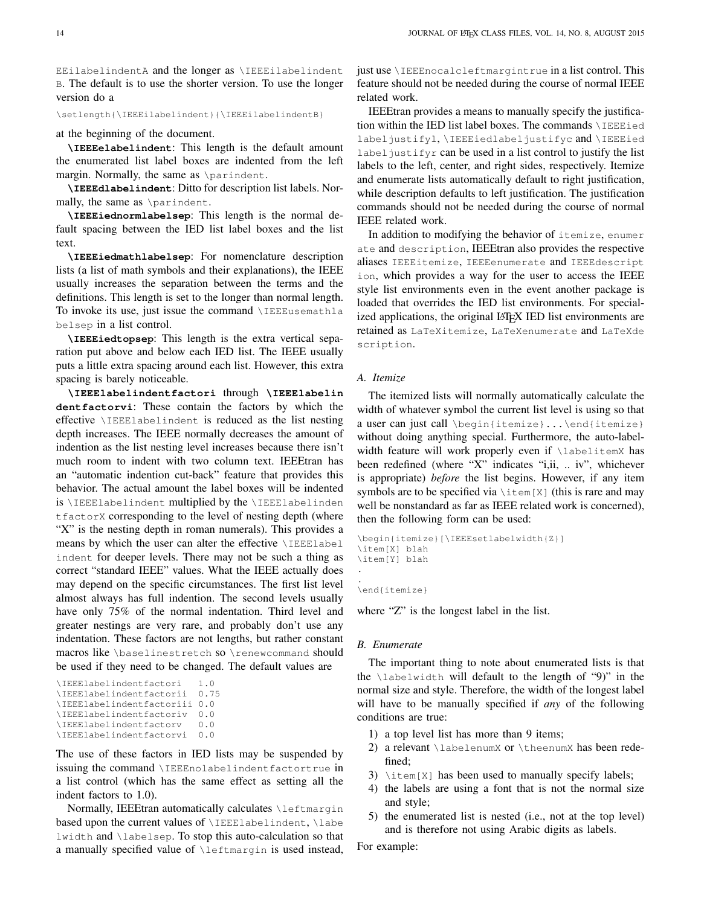EEilabelindentA and the longer as \IEEEilabelindent B. The default is to use the shorter version. To use the longer version do a

\setlength{\IEEEilabelindent}{\IEEEilabelindentB}

at the beginning of the document.

**\IEEEelabelindent**: This length is the default amount the enumerated list label boxes are indented from the left margin. Normally, the same as \parindent.

**\IEEEdlabelindent**: Ditto for description list labels. Normally, the same as \parindent.

**\IEEEiednormlabelsep**: This length is the normal default spacing between the IED list label boxes and the list text.

**\IEEEiedmathlabelsep**: For nomenclature description lists (a list of math symbols and their explanations), the IEEE usually increases the separation between the terms and the definitions. This length is set to the longer than normal length. To invoke its use, just issue the command \IEEEusemathla belsep in a list control.

**\IEEEiedtopsep**: This length is the extra vertical separation put above and below each IED list. The IEEE usually puts a little extra spacing around each list. However, this extra spacing is barely noticeable.

**\IEEElabelindentfactori** through **\IEEElabelin dentfactorvi**: These contain the factors by which the effective \IEEElabelindent is reduced as the list nesting depth increases. The IEEE normally decreases the amount of indention as the list nesting level increases because there isn't much room to indent with two column text. IEEEtran has an "automatic indention cut-back" feature that provides this behavior. The actual amount the label boxes will be indented is \IEEElabelindent multiplied by the \IEEElabelinden tfactorX corresponding to the level of nesting depth (where "X" is the nesting depth in roman numerals). This provides a means by which the user can alter the effective \IEEElabel indent for deeper levels. There may not be such a thing as correct "standard IEEE" values. What the IEEE actually does may depend on the specific circumstances. The first list level almost always has full indention. The second levels usually have only 75% of the normal indentation. Third level and greater nestings are very rare, and probably don't use any indentation. These factors are not lengths, but rather constant macros like \baselinestretch so \renewcommand should be used if they need to be changed. The default values are

```
\IEEElabelindentfactori 1.0
\IEEElabelindentfactorii 0.75
\IEEElabelindentfactoriii 0.0
\IEEElabelindentfactoriv 0.0
\IEEElabelindentfactorv 0.0
\IEEElabelindentfactorvi 0.0
```
The use of these factors in IED lists may be suspended by issuing the command \IEEEnolabelindentfactortrue in a list control (which has the same effect as setting all the indent factors to 1.0).

Normally, IEEEtran automatically calculates \leftmargin based upon the current values of \IEEElabelindent, \labe lwidth and \labelsep. To stop this auto-calculation so that a manually specified value of \leftmargin is used instead, just use \IEEEnocalcleftmargintrue in a list control. This feature should not be needed during the course of normal IEEE related work.

IEEEtran provides a means to manually specify the justification within the IED list label boxes. The commands \IEEEied labeljustifyl, \IEEEiedlabeljustifyc and \IEEEied label justifyr can be used in a list control to justify the list labels to the left, center, and right sides, respectively. Itemize and enumerate lists automatically default to right justification, while description defaults to left justification. The justification commands should not be needed during the course of normal IEEE related work.

In addition to modifying the behavior of itemize, enumer ate and description, IEEEtran also provides the respective aliases IEEEitemize, IEEEenumerate and IEEEdescript ion, which provides a way for the user to access the IEEE style list environments even in the event another package is loaded that overrides the IED list environments. For specialized applications, the original LAT<sub>EX</sub> IED list environments are retained as LaTeXitemize, LaTeXenumerate and LaTeXde scription.

## *A. Itemize*

The itemized lists will normally automatically calculate the width of whatever symbol the current list level is using so that a user can just call \begin{itemize}...\end{itemize} without doing anything special. Furthermore, the auto-labelwidth feature will work properly even if \labelitemX has been redefined (where "X" indicates "i,ii, .. iv", whichever is appropriate) *before* the list begins. However, if any item symbols are to be specified via  $\text{time}[X]$  (this is rare and may well be nonstandard as far as IEEE related work is concerned), then the following form can be used:

```
\begin{itemize}[\IEEEsetlabelwidth{Z}]
\item[X] blah
\item[Y] blah
.
.
\end{itemize}
```
## where "Z" is the longest label in the list.

## *B. Enumerate*

The important thing to note about enumerated lists is that the  $\lambda$ labelwidth will default to the length of "9)" in the normal size and style. Therefore, the width of the longest label will have to be manually specified if *any* of the following conditions are true:

- 1) a top level list has more than 9 items;
- 2) a relevant \labelenumX or \theenumX has been redefined;
- 3)  $\text{time}[X]$  has been used to manually specify labels;
- 4) the labels are using a font that is not the normal size and style;
- 5) the enumerated list is nested (i.e., not at the top level) and is therefore not using Arabic digits as labels.

For example: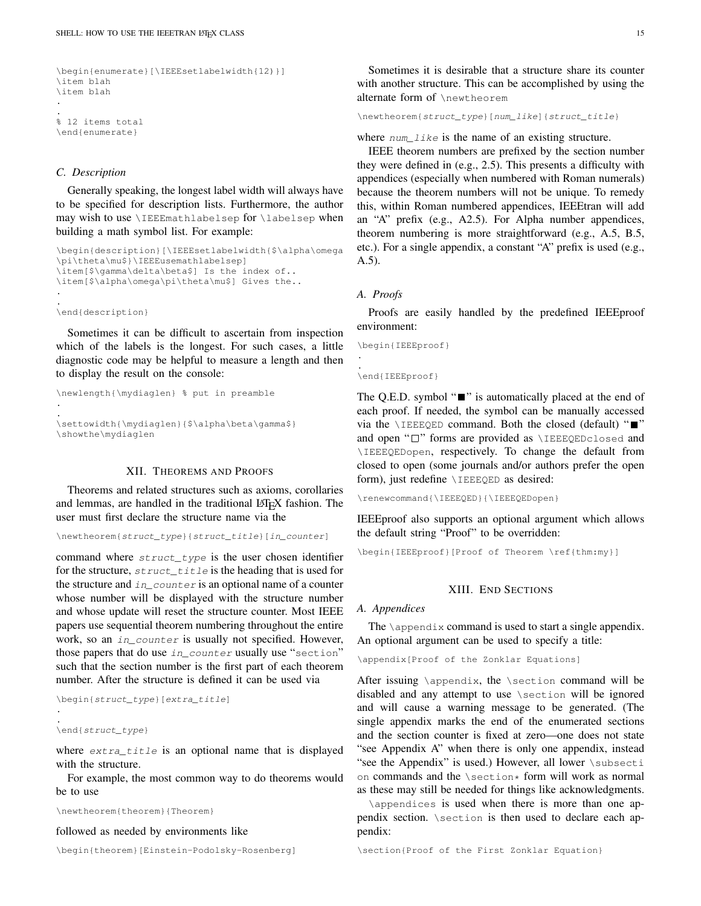```
\begin{enumerate}[\IEEEsetlabelwidth{12)}]
\item blah
\item blah
.
.
% 12 items total
\end{enumerate}
```
#### *C. Description*

Generally speaking, the longest label width will always have to be specified for description lists. Furthermore, the author may wish to use \IEEEmathlabelsep for \labelsep when building a math symbol list. For example:

```
\begin{description}[\IEEEsetlabelwidth{$\alpha\omega
\pi\theta\mu$}\IEEEusemathlabelsep]
\item[$\qamma\delta\beta$] Is the index of..
\item[$\alpha\omega\pi\theta\mu$] Gives the..
.
.
```
\end{description}

Sometimes it can be difficult to ascertain from inspection which of the labels is the longest. For such cases, a little diagnostic code may be helpful to measure a length and then to display the result on the console:

```
\newlength{\mydiaglen} % put in preamble
.
.
\settowidth{\mydiaglen}{$\alpha\beta\gamma$}
\showthe\mydiaglen
```
## XII. THEOREMS AND PROOFS

Theorems and related structures such as axioms, corollaries and lemmas, are handled in the traditional LATEX fashion. The user must first declare the structure name via the

\newtheorem{struct\_type}{struct\_title}[in\_counter]

command where struct\_type is the user chosen identifier for the structure,  $struct \text{title}$  is the heading that is used for the structure and  $in\_counter$  is an optional name of a counter whose number will be displayed with the structure number and whose update will reset the structure counter. Most IEEE papers use sequential theorem numbering throughout the entire work, so an *in\_counter* is usually not specified. However, those papers that do use in\_counter usually use "section" such that the section number is the first part of each theorem number. After the structure is defined it can be used via

```
\begin{struct_type}[extra_title]
.
.
\end{struct_type}
```
where extra\_title is an optional name that is displayed with the structure.

For example, the most common way to do theorems would be to use

\newtheorem{theorem}{Theorem}

## followed as needed by environments like

\begin{theorem}[Einstein-Podolsky-Rosenberg]

Sometimes it is desirable that a structure share its counter with another structure. This can be accomplished by using the alternate form of \newtheorem

\newtheorem{struct\_type}[num\_like]{struct\_title}

where  $num\_like$  is the name of an existing structure.

IEEE theorem numbers are prefixed by the section number they were defined in (e.g., 2.5). This presents a difficulty with appendices (especially when numbered with Roman numerals) because the theorem numbers will not be unique. To remedy this, within Roman numbered appendices, IEEEtran will add an "A" prefix (e.g., A2.5). For Alpha number appendices, theorem numbering is more straightforward (e.g., A.5, B.5, etc.). For a single appendix, a constant "A" prefix is used (e.g., A.5).

## *A. Proofs*

. .

Proofs are easily handled by the predefined IEEEproof environment:

```
\begin{IEEEproof}
```
#### \end{IEEEproof}

The Q.E.D. symbol " $\blacksquare$ " is automatically placed at the end of each proof. If needed, the symbol can be manually accessed via the  $\I_{\text{IEEE QED}}$  command. Both the closed (default) " $\blacksquare$ " and open " $\square$ " forms are provided as  $\IEEEQEDclosed$  and \IEEEQEDopen, respectively. To change the default from closed to open (some journals and/or authors prefer the open form), just redefine \IEEEQED as desired:

\renewcommand{\IEEEQED}{\IEEEQEDopen}

IEEEproof also supports an optional argument which allows the default string "Proof" to be overridden:

\begin{IEEEproof}[Proof of Theorem \ref{thm:my}]

## XIII. END SECTIONS

#### *A. Appendices*

The  $\alpha$  is command is used to start a single appendix. An optional argument can be used to specify a title:

\appendix[Proof of the Zonklar Equations]

After issuing \appendix, the \section command will be disabled and any attempt to use \section will be ignored and will cause a warning message to be generated. (The single appendix marks the end of the enumerated sections and the section counter is fixed at zero—one does not state "see Appendix A" when there is only one appendix, instead "see the Appendix" is used.) However, all lower \subsecti on commands and the \section\* form will work as normal as these may still be needed for things like acknowledgments.

\appendices is used when there is more than one appendix section. \section is then used to declare each appendix:

\section{Proof of the First Zonklar Equation}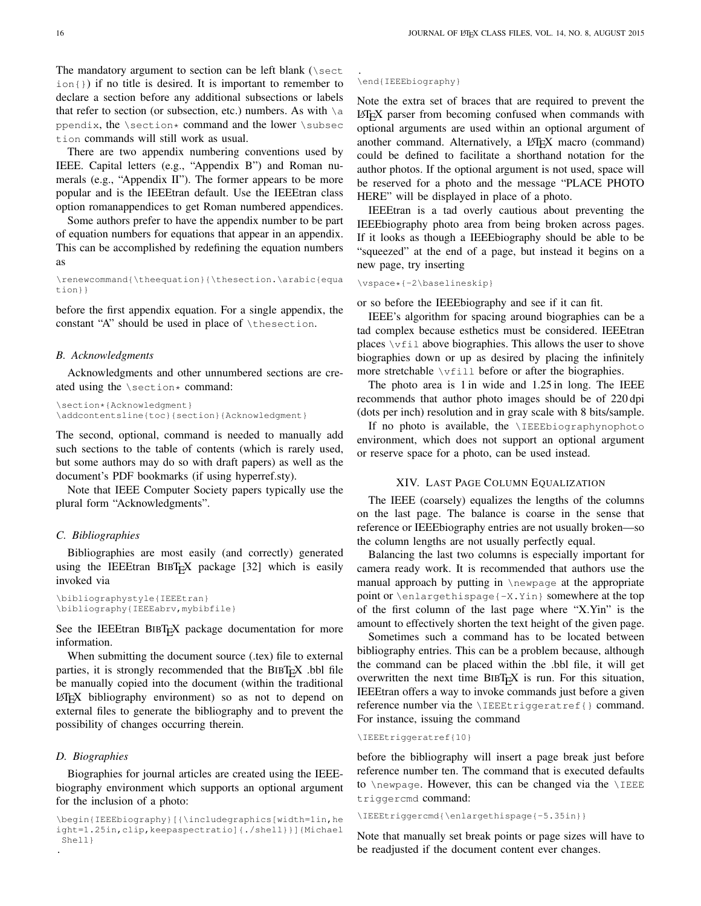The mandatory argument to section can be left blank ( $\text{Sect}$  $i$ on $\{ \}$ ) if no title is desired. It is important to remember to declare a section before any additional subsections or labels that refer to section (or subsection, etc.) numbers. As with  $\setminus a$ ppendix, the  $\setminus$ section\* command and the lower  $\setminus$ subsec tion commands will still work as usual.

There are two appendix numbering conventions used by IEEE. Capital letters (e.g., "Appendix B") and Roman numerals (e.g., "Appendix II"). The former appears to be more popular and is the IEEEtran default. Use the IEEEtran class option romanappendices to get Roman numbered appendices.

Some authors prefer to have the appendix number to be part of equation numbers for equations that appear in an appendix. This can be accomplished by redefining the equation numbers as

\renewcommand{\theequation}{\thesection.\arabic{equa tion}}

before the first appendix equation. For a single appendix, the constant "A" should be used in place of \thesection.

#### *B. Acknowledgments*

Acknowledgments and other unnumbered sections are created using the  $\setminus$  section  $*$  command:

```
\section*{Acknowledgment}
\addcontentsline{toc}{section}{Acknowledgment}
```
The second, optional, command is needed to manually add such sections to the table of contents (which is rarely used, but some authors may do so with draft papers) as well as the document's PDF bookmarks (if using hyperref.sty).

Note that IEEE Computer Society papers typically use the plural form "Acknowledgments".

#### *C. Bibliographies*

Bibliographies are most easily (and correctly) generated using the IEEEtran BIBT<sub>E</sub>X package  $[32]$  which is easily invoked via

```
\bibliographystyle{IEEEtran}
\bibliography{IEEEabrv,mybibfile}
```
See the IEEEtran BIBTEX package documentation for more information.

When submitting the document source (.tex) file to external parties, it is strongly recommended that the  $BIBT<sub>E</sub>X$ .bbl file be manually copied into the document (within the traditional LATEX bibliography environment) so as not to depend on external files to generate the bibliography and to prevent the possibility of changes occurring therein.

## *D. Biographies*

Biographies for journal articles are created using the IEEEbiography environment which supports an optional argument for the inclusion of a photo:

#### \end{IEEEbiography}

.

Note the extra set of braces that are required to prevent the LATEX parser from becoming confused when commands with optional arguments are used within an optional argument of another command. Alternatively, a LAT<sub>E</sub>X macro (command) could be defined to facilitate a shorthand notation for the author photos. If the optional argument is not used, space will be reserved for a photo and the message "PLACE PHOTO HERE" will be displayed in place of a photo.

IEEEtran is a tad overly cautious about preventing the IEEEbiography photo area from being broken across pages. If it looks as though a IEEEbiography should be able to be "squeezed" at the end of a page, but instead it begins on a new page, try inserting

\vspace\*{-2\baselineskip}

or so before the IEEEbiography and see if it can fit.

IEEE's algorithm for spacing around biographies can be a tad complex because esthetics must be considered. IEEEtran places  $\forall$ ril above biographies. This allows the user to shove biographies down or up as desired by placing the infinitely more stretchable \vfill before or after the biographies.

The photo area is 1 in wide and 1.25 in long. The IEEE recommends that author photo images should be of 220 dpi (dots per inch) resolution and in gray scale with 8 bits/sample.

If no photo is available, the *\IEEEbiographynophoto* environment, which does not support an optional argument or reserve space for a photo, can be used instead.

## XIV. LAST PAGE COLUMN EQUALIZATION

<span id="page-15-0"></span>The IEEE (coarsely) equalizes the lengths of the columns on the last page. The balance is coarse in the sense that reference or IEEEbiography entries are not usually broken—so the column lengths are not usually perfectly equal.

Balancing the last two columns is especially important for camera ready work. It is recommended that authors use the manual approach by putting in \newpage at the appropriate point or \enlargethispage{-X.Yin} somewhere at the top of the first column of the last page where "X.Yin" is the amount to effectively shorten the text height of the given page.

Sometimes such a command has to be located between bibliography entries. This can be a problem because, although the command can be placed within the .bbl file, it will get overwritten the next time  $BIBT<sub>F</sub>X$  is run. For this situation, IEEEtran offers a way to invoke commands just before a given reference number via the \IEEEtriggeratref{} command. For instance, issuing the command

#### \IEEEtriggeratref{10}

before the bibliography will insert a page break just before reference number ten. The command that is executed defaults to \newpage. However, this can be changed via the \IEEE triggercmd command:

\IEEEtriggercmd{\enlargethispage{-5.35in}}

Note that manually set break points or page sizes will have to be readjusted if the document content ever changes.

<sup>\</sup>begin{IEEEbiography}[{\includegraphics[width=1in,he ight=1.25in,clip,keepaspectratio]{./shell}}]{Michael Shell} .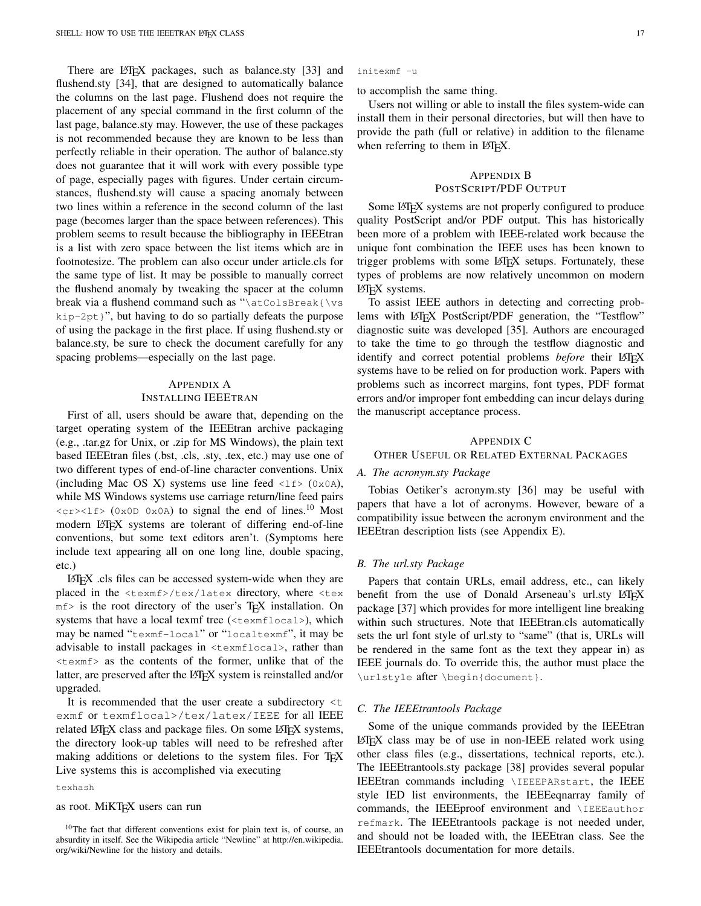There are LATEX packages, such as balance.sty [\[33\]](#page-27-20) and flushend.sty [\[34\]](#page-27-21), that are designed to automatically balance the columns on the last page. Flushend does not require the placement of any special command in the first column of the last page, balance.sty may. However, the use of these packages is not recommended because they are known to be less than perfectly reliable in their operation. The author of balance.sty does not guarantee that it will work with every possible type of page, especially pages with figures. Under certain circumstances, flushend.sty will cause a spacing anomaly between two lines within a reference in the second column of the last page (becomes larger than the space between references). This problem seems to result because the bibliography in IEEEtran is a list with zero space between the list items which are in footnotesize. The problem can also occur under article.cls for the same type of list. It may be possible to manually correct the flushend anomaly by tweaking the spacer at the column break via a flushend command such as "\atColsBreak{\vs  $kip-2pt$  ;", but having to do so partially defeats the purpose of using the package in the first place. If using flushend.sty or balance.sty, be sure to check the document carefully for any spacing problems—especially on the last page.

## APPENDIX A INSTALLING IEEETRAN

First of all, users should be aware that, depending on the target operating system of the IEEEtran archive packaging (e.g., .tar.gz for Unix, or .zip for MS Windows), the plain text based IEEEtran files (.bst, .cls, .sty, .tex, etc.) may use one of two different types of end-of-line character conventions. Unix (including Mac OS X) systems use line feed  $\langle$ 1f> (0x0A), while MS Windows systems use carriage return/line feed pairs  $\langle c \rangle \langle c \rangle$  (0x0D 0x0A) to signal the end of lines.<sup>[10](#page-16-1)</sup> Most modern LAT<sub>EX</sub> systems are tolerant of differing end-of-line conventions, but some text editors aren't. (Symptoms here include text appearing all on one long line, double spacing, etc.)

LATEX .cls files can be accessed system-wide when they are placed in the <texmf>/tex/latex directory, where <tex mf> is the root directory of the user's TEX installation. On systems that have a local texmf tree (<texmflocal>), which may be named "texmf-local" or "localtexmf", it may be advisable to install packages in <texmflocal>, rather than <texmf> as the contents of the former, unlike that of the latter, are preserved after the LATEX system is reinstalled and/or upgraded.

It is recommended that the user create a subdirectory  $\lt t$ exmf or texmflocal>/tex/latex/IEEE for all IEEE related LATEX class and package files. On some LATEX systems, the directory look-up tables will need to be refreshed after making additions or deletions to the system files. For T<sub>E</sub>X Live systems this is accomplished via executing

#### texhash

#### as root. MiKT<sub>E</sub>X users can run

#### initexmf -u

to accomplish the same thing.

Users not willing or able to install the files system-wide can install them in their personal directories, but will then have to provide the path (full or relative) in addition to the filename when referring to them in LAT<sub>EX</sub>.

## <span id="page-16-0"></span>APPENDIX B POSTSCRIPT/PDF OUTPUT

Some LATEX systems are not properly configured to produce quality PostScript and/or PDF output. This has historically been more of a problem with IEEE-related work because the unique font combination the IEEE uses has been known to trigger problems with some LAT<sub>EX</sub> setups. Fortunately, these types of problems are now relatively uncommon on modern LAT<sub>E</sub>X systems.

To assist IEEE authors in detecting and correcting problems with LAT<sub>EX</sub> PostScript/PDF generation, the "Testflow" diagnostic suite was developed [\[35\]](#page-27-22). Authors are encouraged to take the time to go through the testflow diagnostic and identify and correct potential problems *before* their LATEX systems have to be relied on for production work. Papers with problems such as incorrect margins, font types, PDF format errors and/or improper font embedding can incur delays during the manuscript acceptance process.

#### APPENDIX C

OTHER USEFUL OR RELATED EXTERNAL PACKAGES

### *A. The acronym.sty Package*

Tobias Oetiker's acronym.sty [\[36\]](#page-27-23) may be useful with papers that have a lot of acronyms. However, beware of a compatibility issue between the acronym environment and the IEEEtran description lists (see Appendix [E\)](#page-17-1).

#### *B. The url.sty Package*

Papers that contain URLs, email address, etc., can likely benefit from the use of Donald Arseneau's url.sty LATEX package [\[37\]](#page-27-24) which provides for more intelligent line breaking within such structures. Note that IEEEtran.cls automatically sets the url font style of url.sty to "same" (that is, URLs will be rendered in the same font as the text they appear in) as IEEE journals do. To override this, the author must place the \urlstyle after \begin{document}.

#### <span id="page-16-2"></span>*C. The IEEEtrantools Package*

Some of the unique commands provided by the IEEEtran  $LATEX$  class may be of use in non-IEEE related work using other class files (e.g., dissertations, technical reports, etc.). The IEEEtrantools.sty package [\[38\]](#page-27-25) provides several popular IEEEtran commands including \IEEEPARstart, the IEEE style IED list environments, the IEEEeqnarray family of commands, the IEEEproof environment and \IEEEauthor refmark. The IEEEtrantools package is not needed under, and should not be loaded with, the IEEEtran class. See the IEEEtrantools documentation for more details.

<span id="page-16-1"></span><sup>10</sup>The fact that different conventions exist for plain text is, of course, an absurdity in itself. See the Wikipedia article "Newline" at [http://en.wikipedia.](http://en.wikipedia.org/wiki/Newline) [org/wiki/Newline](http://en.wikipedia.org/wiki/Newline) for the history and details.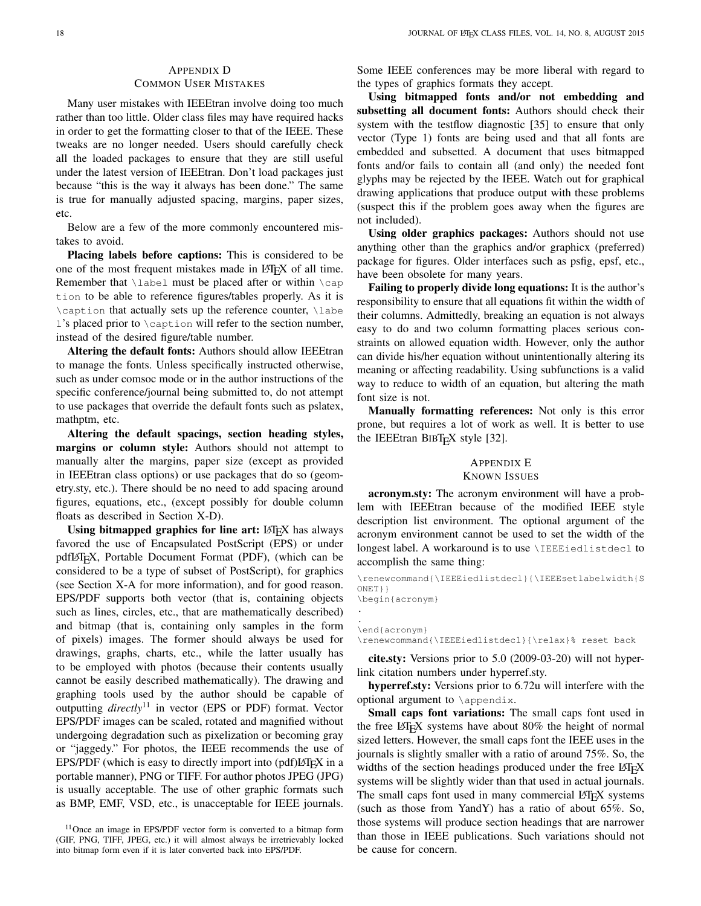## <span id="page-17-0"></span>APPENDIX D COMMON USER MISTAKES

Many user mistakes with IEEEtran involve doing too much rather than too little. Older class files may have required hacks in order to get the formatting closer to that of the IEEE. These tweaks are no longer needed. Users should carefully check all the loaded packages to ensure that they are still useful under the latest version of IEEEtran. Don't load packages just because "this is the way it always has been done." The same is true for manually adjusted spacing, margins, paper sizes, etc.

Below are a few of the more commonly encountered mistakes to avoid.

Placing labels before captions: This is considered to be one of the most frequent mistakes made in LATEX of all time. Remember that \label must be placed after or within \cap tion to be able to reference figures/tables properly. As it is \caption that actually sets up the reference counter, \labe  $\mathbf{l}$ 's placed prior to  $\setminus$  caption will refer to the section number, instead of the desired figure/table number.

Altering the default fonts: Authors should allow IEEEtran to manage the fonts. Unless specifically instructed otherwise, such as under comsoc mode or in the author instructions of the specific conference/journal being submitted to, do not attempt to use packages that override the default fonts such as pslatex, mathptm, etc.

Altering the default spacings, section heading styles, margins or column style: Authors should not attempt to manually alter the margins, paper size (except as provided in IEEEtran class options) or use packages that do so (geometry.sty, etc.). There should be no need to add spacing around figures, equations, etc., (except possibly for double column floats as described in Section [X-D\)](#page-10-0).

Using bitmapped graphics for line art:  $\mathbb{F}[\mathbb{F}X]$  has always favored the use of Encapsulated PostScript (EPS) or under pdfl $\Delta T$ <sub>F</sub>X, Portable Document Format (PDF), (which can be considered to be a type of subset of PostScript), for graphics (see Section [X-A](#page-8-4) for more information), and for good reason. EPS/PDF supports both vector (that is, containing objects such as lines, circles, etc., that are mathematically described) and bitmap (that is, containing only samples in the form of pixels) images. The former should always be used for drawings, graphs, charts, etc., while the latter usually has to be employed with photos (because their contents usually cannot be easily described mathematically). The drawing and graphing tools used by the author should be capable of outputting *directly*[11](#page-17-2) in vector (EPS or PDF) format. Vector EPS/PDF images can be scaled, rotated and magnified without undergoing degradation such as pixelization or becoming gray or "jaggedy." For photos, the IEEE recommends the use of EPS/PDF (which is easy to directly import into  $\left(\frac{\partial f}{\partial x}\right)$  in a portable manner), PNG or TIFF. For author photos JPEG (JPG) is usually acceptable. The use of other graphic formats such as BMP, EMF, VSD, etc., is unacceptable for IEEE journals.

<span id="page-17-2"></span><sup>11</sup>Once an image in EPS/PDF vector form is converted to a bitmap form (GIF, PNG, TIFF, JPEG, etc.) it will almost always be irretrievably locked into bitmap form even if it is later converted back into EPS/PDF.

Some IEEE conferences may be more liberal with regard to the types of graphics formats they accept.

Using bitmapped fonts and/or not embedding and subsetting all document fonts: Authors should check their system with the testflow diagnostic [\[35\]](#page-27-22) to ensure that only vector (Type 1) fonts are being used and that all fonts are embedded and subsetted. A document that uses bitmapped fonts and/or fails to contain all (and only) the needed font glyphs may be rejected by the IEEE. Watch out for graphical drawing applications that produce output with these problems (suspect this if the problem goes away when the figures are not included).

Using older graphics packages: Authors should not use anything other than the graphics and/or graphicx (preferred) package for figures. Older interfaces such as psfig, epsf, etc., have been obsolete for many years.

Failing to properly divide long equations: It is the author's responsibility to ensure that all equations fit within the width of their columns. Admittedly, breaking an equation is not always easy to do and two column formatting places serious constraints on allowed equation width. However, only the author can divide his/her equation without unintentionally altering its meaning or affecting readability. Using subfunctions is a valid way to reduce to width of an equation, but altering the math font size is not.

Manually formatting references: Not only is this error prone, but requires a lot of work as well. It is better to use the IEEEtran BIBT<sub>E</sub>X style [\[32\]](#page-27-19).

## <span id="page-17-1"></span>APPENDIX E KNOWN ISSUES

acronym.sty: The acronym environment will have a problem with IEEEtran because of the modified IEEE style description list environment. The optional argument of the acronym environment cannot be used to set the width of the longest label. A workaround is to use \IEEEiedlistdecl to accomplish the same thing:

\renewcommand{\IEEEiedlistdecl}{\IEEEsetlabelwidth{S ONET}} \begin{acronym}

. \end{acronym} \renewcommand{\IEEEiedlistdecl}{\relax}% reset back

.

cite.sty: Versions prior to 5.0 (2009-03-20) will not hyperlink citation numbers under hyperref.sty.

hyperref.sty: Versions prior to 6.72u will interfere with the optional argument to \appendix.

Small caps font variations: The small caps font used in the free LAT<sub>E</sub>X systems have about 80% the height of normal sized letters. However, the small caps font the IEEE uses in the journals is slightly smaller with a ratio of around 75%. So, the widths of the section headings produced under the free LATEX systems will be slightly wider than that used in actual journals. The small caps font used in many commercial LATEX systems (such as those from YandY) has a ratio of about 65%. So, those systems will produce section headings that are narrower than those in IEEE publications. Such variations should not be cause for concern.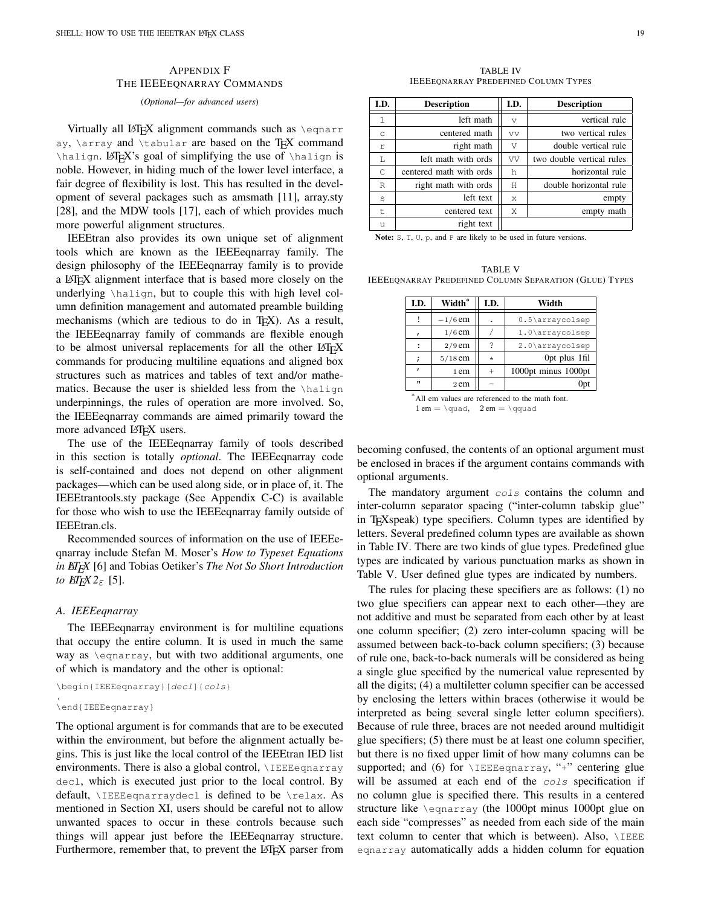## APPENDIX F THE IEEEEQNARRAY COMMANDS

<span id="page-18-0"></span>(*Optional—for advanced users*)

Virtually all LAT<sub>EX</sub> alignment commands such as  $\equiv$ ay,  $\arctan$  and  $\tanh$  are based on the T<sub>E</sub>X command \halign. LATEX's goal of simplifying the use of \halign is noble. However, in hiding much of the lower level interface, a fair degree of flexibility is lost. This has resulted in the development of several packages such as amsmath [\[11\]](#page-26-10), array.sty [\[28\]](#page-27-15), and the MDW tools [\[17\]](#page-27-4), each of which provides much more powerful alignment structures.

IEEEtran also provides its own unique set of alignment tools which are known as the IEEEeqnarray family. The design philosophy of the IEEEeqnarray family is to provide a LATEX alignment interface that is based more closely on the underlying \halign, but to couple this with high level column definition management and automated preamble building mechanisms (which are tedious to do in T<sub>E</sub>X). As a result, the IEEEeqnarray family of commands are flexible enough to be almost universal replacements for all the other LATEX commands for producing multiline equations and aligned box structures such as matrices and tables of text and/or mathematics. Because the user is shielded less from the  $\hbar$ underpinnings, the rules of operation are more involved. So, the IEEEeqnarray commands are aimed primarily toward the more advanced LAT<sub>EX</sub> users.

The use of the IEEEeqnarray family of tools described in this section is totally *optional*. The IEEEeqnarray code is self-contained and does not depend on other alignment packages—which can be used along side, or in place of, it. The IEEEtrantools.sty package (See Appendix [C-C\)](#page-16-2) is available for those who wish to use the IEEEeqnarray family outside of IEEEtran.cls.

Recommended sources of information on the use of IEEEeqnarray include Stefan M. Moser's *How to Typeset Equations in LATEX* [\[6\]](#page-26-4) and Tobias Oetiker's *The Not So Short Introduction to*  $E/FX$   $2\varepsilon$  [\[5\]](#page-26-5).

#### *A. IEEEeqnarray*

The IEEEeqnarray environment is for multiline equations that occupy the entire column. It is used in much the same way as \eqnarray, but with two additional arguments, one of which is mandatory and the other is optional:

```
\begin{IEEEeqnarray}[decl]{cols}
```
#### \end{IEEEeqnarray}

.

The optional argument is for commands that are to be executed within the environment, but before the alignment actually begins. This is just like the local control of the IEEEtran IED list environments. There is also a global control, **\IEEEeqnarray** decl, which is executed just prior to the local control. By default, *\IEEEeqnarraydecl* is defined to be *\relax*. As mentioned in Section [XI,](#page-12-0) users should be careful not to allow unwanted spaces to occur in these controls because such things will appear just before the IEEEeqnarray structure. Furthermore, remember that, to prevent the LAT<sub>E</sub>X parser from

TABLE IV IEEEEQNARRAY PREDEFINED COLUMN TYPES

<span id="page-18-1"></span>

| I.D.          | <b>Description</b>      | I.D.      | <b>Description</b>        |
|---------------|-------------------------|-----------|---------------------------|
| 1             | left math               | V         | vertical rule             |
| $\mathcal{C}$ | centered math           | <b>VV</b> | two vertical rules        |
| r             | right math              | V         | double vertical rule      |
| T.            | left math with ords     | VV        | two double vertical rules |
| C             | centered math with ords | h         | horizontal rule           |
| R             | right math with ords    | H         | double horizontal rule    |
| S             | left text               | X         | empty                     |
| t             | centered text           | X         | empty math                |
| u             | right text              |           |                           |

Note: S, T, U, p, and P are likely to be used in future versions.

<span id="page-18-2"></span>TABLE V IEEEEQNARRAY PREDEFINED COLUMN SEPARATION (GLUE) TYPES

| I.D.                                                | Width*    | I.D.    | Width               |
|-----------------------------------------------------|-----------|---------|---------------------|
|                                                     | $-1/6$ em |         | 0.5\arraycolsep     |
|                                                     | $1/6$ em  |         | 1.0\arraycolsep     |
| $\ddot{\phantom{a}}$                                | $2/9$ em  | ?       | 2.0\arraycolsep     |
| ;                                                   | $5/18$ em | $\star$ | Opt plus 1fil       |
| ,                                                   | 1 em      |         | 1000pt minus 1000pt |
| $\mathbf{u}$                                        | 2 em      |         | 0 <sub>pt</sub>     |
| $*$ All and realized and noten and to the moth fant |           |         |                     |

All em values are referenced to the math font.  $1 \text{ cm} = \text{quad}, 2 \text{ cm} = \qquad \text{quad}$ 

becoming confused, the contents of an optional argument must be enclosed in braces if the argument contains commands with optional arguments.

The mandatory argument  $\cos$  contains the column and inter-column separator spacing ("inter-column tabskip glue" in TEXspeak) type specifiers. Column types are identified by letters. Several predefined column types are available as shown in Table [IV.](#page-18-1) There are two kinds of glue types. Predefined glue types are indicated by various punctuation marks as shown in Table [V.](#page-18-2) User defined glue types are indicated by numbers.

The rules for placing these specifiers are as follows: (1) no two glue specifiers can appear next to each other—they are not additive and must be separated from each other by at least one column specifier; (2) zero inter-column spacing will be assumed between back-to-back column specifiers; (3) because of rule one, back-to-back numerals will be considered as being a single glue specified by the numerical value represented by all the digits; (4) a multiletter column specifier can be accessed by enclosing the letters within braces (otherwise it would be interpreted as being several single letter column specifiers). Because of rule three, braces are not needed around multidigit glue specifiers; (5) there must be at least one column specifier, but there is no fixed upper limit of how many columns can be supported; and (6) for \IEEEeqnarray, "+" centering glue will be assumed at each end of the cols specification if no column glue is specified there. This results in a centered structure like \eqnarray (the 1000pt minus 1000pt glue on each side "compresses" as needed from each side of the main text column to center that which is between). Also, **\IEEE** eqnarray automatically adds a hidden column for equation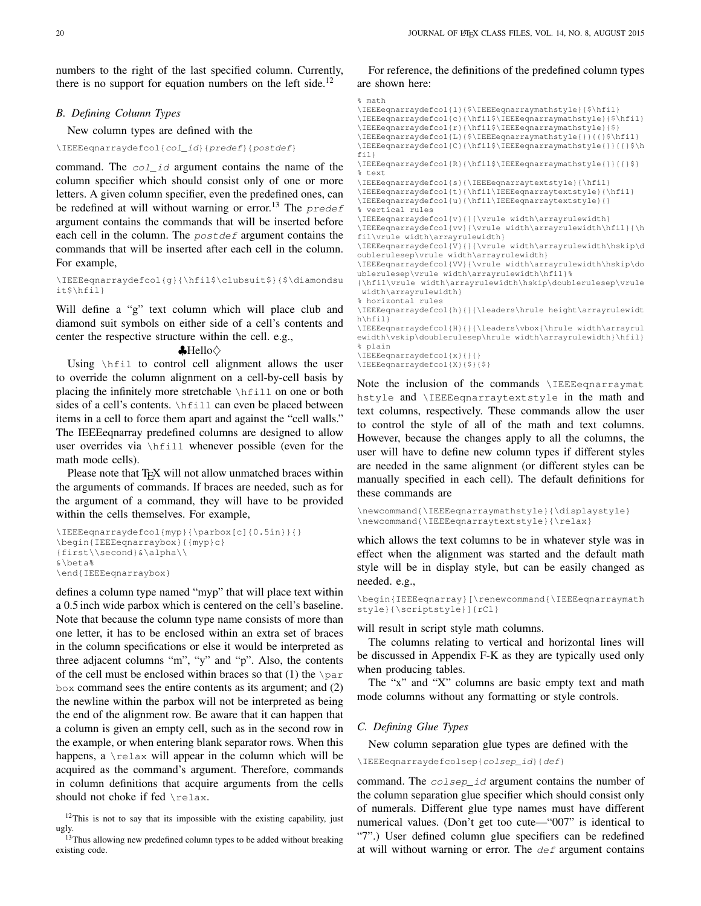numbers to the right of the last specified column. Currently, there is no support for equation numbers on the left side.<sup>[12](#page-19-0)</sup>

## <span id="page-19-2"></span>*B. Defining Column Types*

New column types are defined with the

\IEEEeqnarraydefcol{col\_id}{predef}{postdef}

command. The col\_id argument contains the name of the column specifier which should consist only of one or more letters. A given column specifier, even the predefined ones, can be redefined at will without warning or error.<sup>[13](#page-19-1)</sup> The  $predef$ argument contains the commands that will be inserted before each cell in the column. The *postdef* argument contains the commands that will be inserted after each cell in the column. For example,

\IEEEeqnarraydefcol{g}{\hfil\$\clubsuit\$}{\$\diamondsu it\$\hfil}

Will define a "g" text column which will place club and diamond suit symbols on either side of a cell's contents and center the respective structure within the cell. e.g.,

 $\bigtriangleup$ Hello $\diamondsuit$ 

Using \hfil to control cell alignment allows the user to override the column alignment on a cell-by-cell basis by placing the infinitely more stretchable \hfill on one or both sides of a cell's contents. \hfill can even be placed between items in a cell to force them apart and against the "cell walls." The IEEEeqnarray predefined columns are designed to allow user overrides via \hfill whenever possible (even for the math mode cells).

Please note that T<sub>E</sub>X will not allow unmatched braces within the arguments of commands. If braces are needed, such as for the argument of a command, they will have to be provided within the cells themselves. For example,

```
\IEEEeqnarraydefcol{myp}{\parbox[c]{0.5in}}{}
\begin{IEEEeqnarraybox}{{myp}c}
{first\\second}&\alpha\\
&\beta%
\end{IEEEeqnarraybox}
```
defines a column type named "myp" that will place text within a 0.5 inch wide parbox which is centered on the cell's baseline. Note that because the column type name consists of more than one letter, it has to be enclosed within an extra set of braces in the column specifications or else it would be interpreted as three adjacent columns "m", "y" and "p". Also, the contents of the cell must be enclosed within braces so that (1) the  $\gamma$ box command sees the entire contents as its argument; and (2) the newline within the parbox will not be interpreted as being the end of the alignment row. Be aware that it can happen that a column is given an empty cell, such as in the second row in the example, or when entering blank separator rows. When this happens, a  $\text{relax}$  will appear in the column which will be acquired as the command's argument. Therefore, commands in column definitions that acquire arguments from the cells should not choke if fed \relax.

## For reference, the definitions of the predefined column types are shown here:

#### % math

\IEEEeqnarraydefcol{l}{\$\IEEEeqnarraymathstyle}{\$\hfil}

```
\IEEEeqnarraydefcol{c}{\hfil$\IEEEeqnarraymathstyle}{$\hfil}
```

```
\IEEEeqnarraydefcol{r}{\hfil$\IEEEeqnarraymathstyle}{$}
```

```
\IEEEeqnarraydefcol{L}{$\IEEEeqnarraymathstyle{}}{{}$\hfil}
```
\IEEEeqnarraydefcol{C}{\hfil\$\IEEEeqnarraymathstyle{}}{{}\$\h fil}

\IEEEeqnarraydefcol{R}{\hfil\$\IEEEeqnarraymathstyle{}}{{}\$} % text

\IEEEeqnarraydefcol{s}{\IEEEeqnarraytextstyle}{\hfil}

\IEEEeqnarraydefcol{t}{\hfil\IEEEeqnarraytextstyle}{\hfil}

\IEEEeqnarraydefcol{u}{\hfil\IEEEeqnarraytextstyle}{}

% vertical rules

\IEEEeqnarraydefcol{v}{}{\vrule width\arrayrulewidth}

\IEEEeqnarraydefcol{vv}{\vrule width\arrayrulewidth\hfil}{\h fil\vrule width\arrayrulewidth}

\IEEEeqnarraydefcol{V}{}{\vrule width\arrayrulewidth\hskip\d oublerulesep\vrule width\arrayrulewidth}

\IEEEeqnarraydefcol{VV}{\vrule width\arrayrulewidth\hskip\do ublerulesep\vrule width\arrayrulewidth\hfil}%

{\hfil\vrule width\arrayrulewidth\hskip\doublerulesep\vrule width\arrayrulewidth}

```
% horizontal rules
```
\IEEEeqnarraydefcol{h}{}{\leaders\hrule height\arrayrulewidt h\hfil}

\IEEEeqnarraydefcol{H}{}{\leaders\vbox{\hrule width\arrayrul ewidth\vskip\doublerulesep\hrule width\arrayrulewidth}\hfil} % plain

\IEEEeqnarraydefcol{x}{}{}

\IEEEeqnarraydefcol{X}{\$}{\$}

Note the inclusion of the commands \IEEEeqnarraymat hstyle and \IEEEeqnarraytextstyle in the math and text columns, respectively. These commands allow the user to control the style of all of the math and text columns. However, because the changes apply to all the columns, the user will have to define new column types if different styles are needed in the same alignment (or different styles can be manually specified in each cell). The default definitions for these commands are

\newcommand{\IEEEeqnarraymathstyle}{\displaystyle} \newcommand{\IEEEeqnarraytextstyle}{\relax}

which allows the text columns to be in whatever style was in effect when the alignment was started and the default math style will be in display style, but can be easily changed as needed. e.g.,

\begin{IEEEeqnarray}[\renewcommand{\IEEEeqnarraymath style}{\scriptstyle}]{rCl}

will result in script style math columns.

The columns relating to vertical and horizontal lines will be discussed in Appendix [F-K](#page-23-0) as they are typically used only when producing tables.

The "x" and "X" columns are basic empty text and math mode columns without any formatting or style controls.

#### *C. Defining Glue Types*

New column separation glue types are defined with the

\IEEEeqnarraydefcolsep{colsep\_id}{def}

command. The colsep\_id argument contains the number of the column separation glue specifier which should consist only of numerals. Different glue type names must have different numerical values. (Don't get too cute—"007" is identical to "7".) User defined column glue specifiers can be redefined at will without warning or error. The  $d \in \mathbf{f}$  argument contains

<span id="page-19-0"></span> $12$ This is not to say that its impossible with the existing capability, just ugly.

<span id="page-19-1"></span><sup>&</sup>lt;sup>13</sup>Thus allowing new predefined column types to be added without breaking existing code.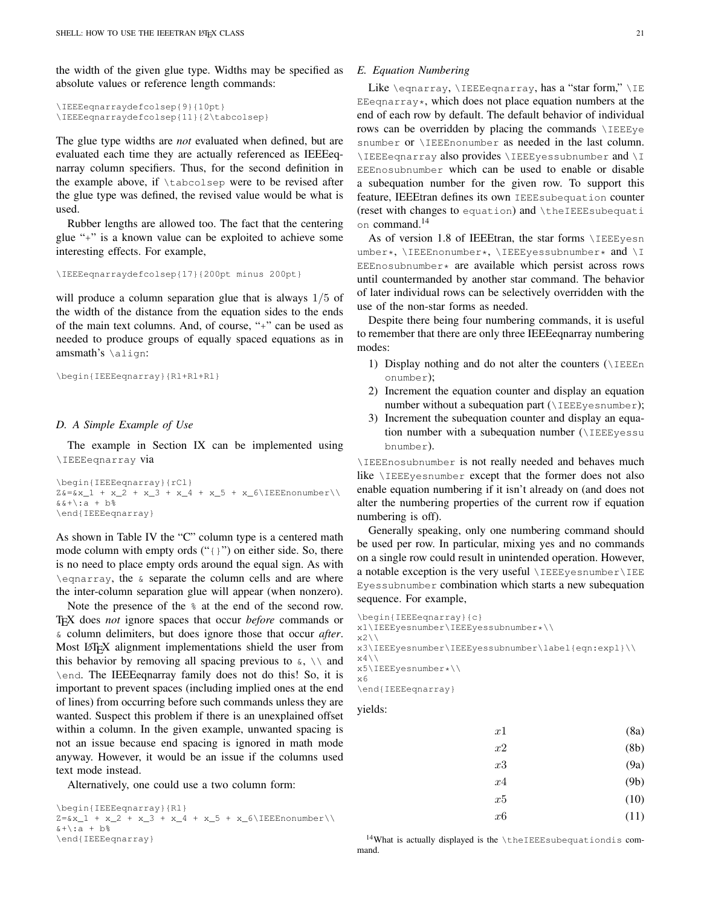the width of the given glue type. Widths may be specified as absolute values or reference length commands:

```
\IEEEeqnarraydefcolsep{9}{10pt}
\IEEEeqnarraydefcolsep{11}{2\tabcolsep}
```
The glue type widths are *not* evaluated when defined, but are evaluated each time they are actually referenced as IEEEeqnarray column specifiers. Thus, for the second definition in the example above, if \tabcolsep were to be revised after the glue type was defined, the revised value would be what is used.

Rubber lengths are allowed too. The fact that the centering glue "+" is a known value can be exploited to achieve some interesting effects. For example,

\IEEEeqnarraydefcolsep{17}{200pt minus 200pt}

will produce a column separation glue that is always  $1/5$  of the width of the distance from the equation sides to the ends of the main text columns. And, of course, "+" can be used as needed to produce groups of equally spaced equations as in amsmath's \align:

```
\begin{IEEEeqnarray}{Rl+Rl+Rl}
```
#### *D. A Simple Example of Use*

The example in Section [IX](#page-7-0) can be implemented using \IEEEeqnarray via

```
\begin{IEEEeqnarray}{rCl}
Z&=&x_1 + x_2 + x_3 + x_4 + x_5 + x_6\IEEEnonumber\\
&\&+ :a + h<sup>2</sup>
\end{IEEEeqnarray}
```
As shown in Table [IV](#page-18-1) the "C" column type is a centered math mode column with empty ords  $("{};")$  on either side. So, there is no need to place empty ords around the equal sign. As with \eqnarray, the & separate the column cells and are where the inter-column separation glue will appear (when nonzero).

Note the presence of the % at the end of the second row. TEX does *not* ignore spaces that occur *before* commands or & column delimiters, but does ignore those that occur *after*. Most LATEX alignment implementations shield the user from this behavior by removing all spacing previous to  $\infty$ ,  $\setminus \setminus$  and \end. The IEEEeqnarray family does not do this! So, it is important to prevent spaces (including implied ones at the end of lines) from occurring before such commands unless they are wanted. Suspect this problem if there is an unexplained offset within a column. In the given example, unwanted spacing is not an issue because end spacing is ignored in math mode anyway. However, it would be an issue if the columns used text mode instead.

Alternatively, one could use a two column form:

```
\begin{IEEEeqnarray}{Rl}
Z=&x_1 + x_2 + x_3 + x_4 + x_5 + x_6\IEEEnonumber\\x + \iota : a + b%
\end{IEEEeqnarray}
```
#### *E. Equation Numbering*

Like \eqnarray, \IEEEeqnarray, has a "star form," \IE EEeqnarray\*, which does not place equation numbers at the end of each row by default. The default behavior of individual rows can be overridden by placing the commands \IEEEye snumber or **\IEEEnonumber** as needed in the last column. \IEEEeqnarray also provides \IEEEyessubnumber and \I EEEnosubnumber which can be used to enable or disable a subequation number for the given row. To support this feature, IEEEtran defines its own IEEEsubequation counter (reset with changes to equation) and \theIEEEsubequati on command.<sup>[14](#page-20-0)</sup>

As of version 1.8 of IEEEtran, the star forms \IEEEyesn umber\*, \IEEEnonumber\*, \IEEEyessubnumber\* and \I EEEnosubnumber\* are available which persist across rows until countermanded by another star command. The behavior of later individual rows can be selectively overridden with the use of the non-star forms as needed.

Despite there being four numbering commands, it is useful to remember that there are only three IEEEeqnarray numbering modes:

- 1) Display nothing and do not alter the counters  $(\Pi)$ EEEn onumber);
- 2) Increment the equation counter and display an equation number without a subequation part ( $\I$ EEEyesnumber);
- 3) Increment the subequation counter and display an equation number with a subequation number (\IEEEyessu bnumber).

\IEEEnosubnumber is not really needed and behaves much like \IEEEyesnumber except that the former does not also enable equation numbering if it isn't already on (and does not alter the numbering properties of the current row if equation numbering is off).

Generally speaking, only one numbering command should be used per row. In particular, mixing yes and no commands on a single row could result in unintended operation. However, a notable exception is the very useful \IEEEyesnumber\IEE Eyessubnumber combination which starts a new subequation sequence. For example,

```
\begin{IEEEeqnarray}{c}
x1\IEEEyesnumber\IEEEyessubnumber*\\
```

```
x2\backslash
```

```
x3\IEEEyesnumber\IEEEyessubnumber\label{eqn:expl}\\
```

```
x4\setminusx5\IEEEyesnumber*\\
```

```
x6
```
\end{IEEEeqnarray}

## yields:

| x1 | (8a) |
|----|------|
| x2 | (8b) |
| x3 | (9a) |
| x4 | (9b) |
| x5 | (10) |
| x6 | (11) |
|    |      |

<span id="page-20-0"></span><sup>14</sup>What is actually displayed is the \theIEEEsubequationdis command.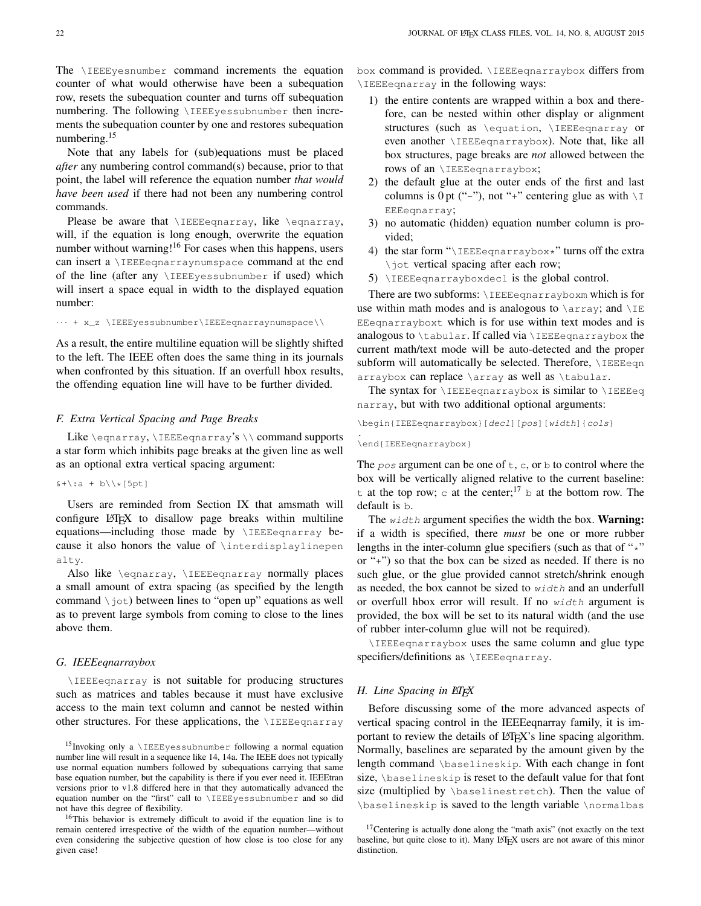The \IEEEyesnumber command increments the equation counter of what would otherwise have been a subequation row, resets the subequation counter and turns off subequation numbering. The following \IEEEyessubnumber then increments the subequation counter by one and restores subequation numbering.<sup>[15](#page-21-0)</sup>

Note that any labels for (sub)equations must be placed *after* any numbering control command(s) because, prior to that point, the label will reference the equation number *that would have been used* if there had not been any numbering control commands.

Please be aware that \IEEEeqnarray, like \eqnarray, will, if the equation is long enough, overwrite the equation number without warning!<sup>[16](#page-21-1)</sup> For cases when this happens, users can insert a \IEEEeqnarraynumspace command at the end of the line (after any \IEEEyessubnumber if used) which will insert a space equal in width to the displayed equation number:

· · · + x\_z \IEEEyessubnumber\IEEEeqnarraynumspace\\

As a result, the entire multiline equation will be slightly shifted to the left. The IEEE often does the same thing in its journals when confronted by this situation. If an overfull hbox results, the offending equation line will have to be further divided.

#### <span id="page-21-3"></span>*F. Extra Vertical Spacing and Page Breaks*

Like  $\equiv \sum_{\text{eqnarray}'s \ \mathrm{command}$ a star form which inhibits page breaks at the given line as well as an optional extra vertical spacing argument:

## $x + \iota : a + b \\\backslash \star [5pt]$

Users are reminded from Section [IX](#page-7-0) that amsmath will configure LAT<sub>EX</sub> to disallow page breaks within multiline equations—including those made by **\IEEEeqnarray** because it also honors the value of \interdisplaylinepen alty.

Also like \eqnarray, \IEEEeqnarray normally places a small amount of extra spacing (as specified by the length command  $\setminus \exists$ ot) between lines to "open up" equations as well as to prevent large symbols from coming to close to the lines above them.

#### *G. IEEEeqnarraybox*

\IEEEeqnarray is not suitable for producing structures such as matrices and tables because it must have exclusive access to the main text column and cannot be nested within other structures. For these applications, the \IEEEeqnarray box command is provided. \IEEEeqnarraybox differs from \IEEEeqnarray in the following ways:

- 1) the entire contents are wrapped within a box and therefore, can be nested within other display or alignment structures (such as \equation, \IEEEeqnarray or even another \IEEEeqnarraybox). Note that, like all box structures, page breaks are *not* allowed between the rows of an *\IEEEeqnarraybox*;
- 2) the default glue at the outer ends of the first and last columns is 0 pt ("-"), not "+" centering glue as with  $\setminus I$ EEEeqnarray;
- 3) no automatic (hidden) equation number column is provided;
- 4) the star form " $\I{IEEE}eqnarraybox*" turns off the extra$ \jot vertical spacing after each row;
- 5) \IEEEeqnarrayboxdecl is the global control.

There are two subforms: \IEEEeqnarrayboxm which is for use within math modes and is analogous to  $\arrow$  array; and  $\setminus$ IE EEeqnarrayboxt which is for use within text modes and is analogous to  $\tau$ . If called via  $\I$ EEEeqnarraybox the current math/text mode will be auto-detected and the proper subform will automatically be selected. Therefore, **\IEEEeqn** arraybox can replace \array as well as \tabular.

The syntax for  $\I{IEEE eqnarraybox is similar to \I{IEEE eq}}$ narray, but with two additional optional arguments:

\begin{IEEEeqnarraybox}[decl][pos][width]{cols}

#### \end{IEEEeqnarraybox}

.

The  $pos$  argument can be one of  $t, c,$  or  $b$  to control where the box will be vertically aligned relative to the current baseline: t at the top row; c at the center;<sup>[17](#page-21-2)</sup> b at the bottom row. The default is b.

The  $width$  argument specifies the width the box. **Warning:** if a width is specified, there *must* be one or more rubber lengths in the inter-column glue specifiers (such as that of " $\star$ " or "+") so that the box can be sized as needed. If there is no such glue, or the glue provided cannot stretch/shrink enough as needed, the box cannot be sized to width and an underfull or overfull hbox error will result. If no width argument is provided, the box will be set to its natural width (and the use of rubber inter-column glue will not be required).

\IEEEeqnarraybox uses the same column and glue type specifiers/definitions as *\IEEEeqnarray*.

#### *H. Line Spacing in ETEX*

Before discussing some of the more advanced aspects of vertical spacing control in the IEEEeqnarray family, it is important to review the details of LAT<sub>EX</sub>'s line spacing algorithm. Normally, baselines are separated by the amount given by the length command \baselineskip. With each change in font size, \baselineskip is reset to the default value for that font size (multiplied by \baselinestretch). Then the value of \baselineskip is saved to the length variable \normalbas

<span id="page-21-0"></span> $15$ Invoking only a \IEEEyessubnumber following a normal equation number line will result in a sequence like 14, 14a. The IEEE does not typically use normal equation numbers followed by subequations carrying that same base equation number, but the capability is there if you ever need it. IEEEtran versions prior to v1.8 differed here in that they automatically advanced the equation number on the "first" call to \IEEEyessubnumber and so did not have this degree of flexibility.

<span id="page-21-1"></span><sup>16</sup>This behavior is extremely difficult to avoid if the equation line is to remain centered irrespective of the width of the equation number—without even considering the subjective question of how close is too close for any given case!

<span id="page-21-2"></span><sup>&</sup>lt;sup>17</sup>Centering is actually done along the "math axis" (not exactly on the text baseline, but quite close to it). Many LATEX users are not aware of this minor distinction.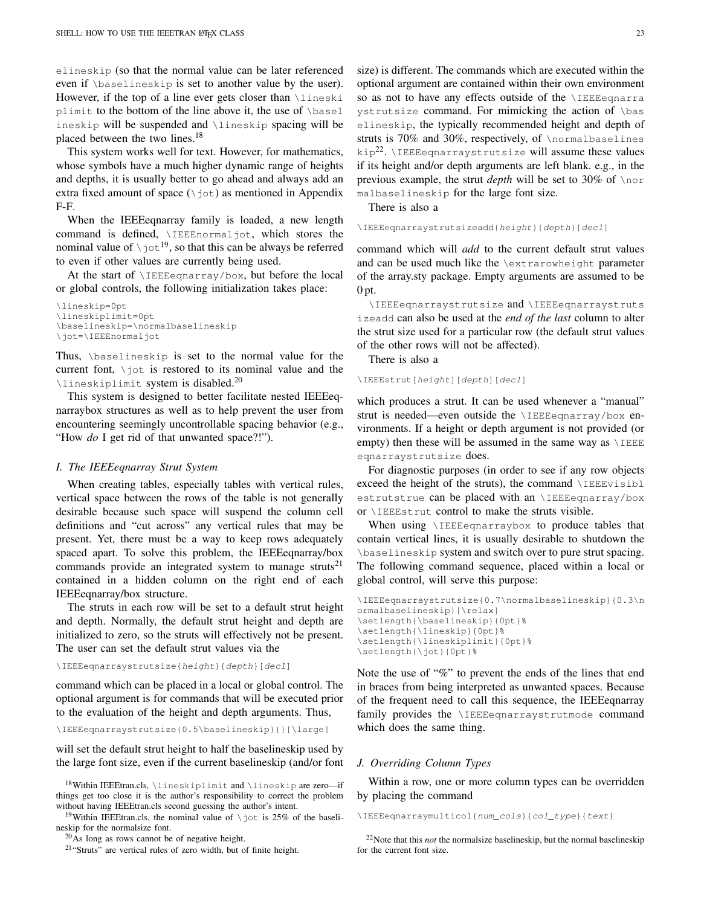elineskip (so that the normal value can be later referenced even if \baselineskip is set to another value by the user). However, if the top of a line ever gets closer than \lineski plimit to the bottom of the line above it, the use of \basel ineskip will be suspended and \lineskip spacing will be placed between the two lines.<sup>[18](#page-22-0)</sup>

This system works well for text. However, for mathematics, whose symbols have a much higher dynamic range of heights and depths, it is usually better to go ahead and always add an extra fixed amount of space  $(\nabla \phi)$  as mentioned in Appendix [F-F.](#page-21-3)

When the IEEEeqnarray family is loaded, a new length command is defined, \IEEEnormaljot, which stores the nominal value of  $\setminus$  jot<sup>[19](#page-22-1)</sup>, so that this can be always be referred to even if other values are currently being used.

At the start of \IEEEeqnarray/box, but before the local or global controls, the following initialization takes place:

```
\lineskip=0pt
\lineskiplimit=0pt
\baselineskip=\normalbaselineskip
\jot=\IEEEnormaljot
```
Thus, \baselineskip is set to the normal value for the current font,  $\iota$  is restored to its nominal value and the \lineskiplimit system is disabled.[20](#page-22-2)

This system is designed to better facilitate nested IEEEeqnarraybox structures as well as to help prevent the user from encountering seemingly uncontrollable spacing behavior (e.g., "How *do* I get rid of that unwanted space?!").

#### *I. The IEEEeqnarray Strut System*

When creating tables, especially tables with vertical rules, vertical space between the rows of the table is not generally desirable because such space will suspend the column cell definitions and "cut across" any vertical rules that may be present. Yet, there must be a way to keep rows adequately spaced apart. To solve this problem, the IEEEeqnarray/box commands provide an integrated system to manage struts<sup>[21](#page-22-3)</sup> contained in a hidden column on the right end of each IEEEeqnarray/box structure.

The struts in each row will be set to a default strut height and depth. Normally, the default strut height and depth are initialized to zero, so the struts will effectively not be present. The user can set the default strut values via the

\IEEEeqnarraystrutsize{height}{depth}[decl]

command which can be placed in a local or global control. The optional argument is for commands that will be executed prior to the evaluation of the height and depth arguments. Thus,

\IEEEeqnarraystrutsize{0.5\baselineskip}{}[\large]

will set the default strut height to half the baselineskip used by the large font size, even if the current baselineskip (and/or font

<span id="page-22-1"></span><sup>19</sup>Within IEEEtran.cls, the nominal value of  $\iota$  jot is 25% of the baselineskip for the normalsize font.

<span id="page-22-3"></span><sup>21</sup>"Struts" are vertical rules of zero width, but of finite height.

size) is different. The commands which are executed within the optional argument are contained within their own environment so as not to have any effects outside of the \IEEEeqnarra ystrutsize command. For mimicking the action of \bas elineskip, the typically recommended height and depth of struts is 70% and 30%, respectively, of \normalbaselines kip<sup>[22](#page-22-4)</sup>. \IEEEeqnarraystrutsize will assume these values if its height and/or depth arguments are left blank. e.g., in the previous example, the strut *depth* will be set to 30% of \nor malbaselineskip for the large font size.

There is also a

\IEEEeqnarraystrutsizeadd{height}{depth}[decl]

command which will *add* to the current default strut values and can be used much like the \extrarowheight parameter of the array.sty package. Empty arguments are assumed to be  $0pt.$ 

\IEEEeqnarraystrutsize and \IEEEeqnarraystruts izeadd can also be used at the *end of the last* column to alter the strut size used for a particular row (the default strut values of the other rows will not be affected).

There is also a

\IEEEstrut[height][depth][decl]

which produces a strut. It can be used whenever a "manual" strut is needed—even outside the \IEEEeqnarray/box environments. If a height or depth argument is not provided (or empty) then these will be assumed in the same way as  $\angle$ IEEE eqnarraystrutsize does.

For diagnostic purposes (in order to see if any row objects exceed the height of the struts), the command \IEEEvisibl estrutstrue can be placed with an *\IEEEeqnarray/box* or \IEEEstrut control to make the struts visible.

When using **\IEEEeqnarraybox** to produce tables that contain vertical lines, it is usually desirable to shutdown the \baselineskip system and switch over to pure strut spacing. The following command sequence, placed within a local or global control, will serve this purpose:

```
\IEEEeqnarraystrutsize{0.7\normalbaselineskip}{0.3\n
ormalbaselineskip}[\relax]
\setlength{\baselineskip}{0pt}%
\setlength{\lineskip}{0pt}%
\setlength{\lineskiplimit}{0pt}%
\setlength{\jot}{0pt}%
```
Note the use of "%" to prevent the ends of the lines that end in braces from being interpreted as unwanted spaces. Because of the frequent need to call this sequence, the IEEEeqnarray family provides the **\IEEEeqnarraystrutmode** command which does the same thing.

#### *J. Overriding Column Types*

Within a row, one or more column types can be overridden by placing the command

```
\IEEEeqnarraymulticol{num_cols}{col_type}{text}
```
<span id="page-22-0"></span><sup>18</sup>Within IEEEtran.cls, \lineskiplimit and \lineskip are zero—if things get too close it is the author's responsibility to correct the problem without having IEEEtran.cls second guessing the author's intent.

<span id="page-22-2"></span><sup>20</sup>As long as rows cannot be of negative height.

<span id="page-22-4"></span><sup>22</sup>Note that this *not* the normalsize baselineskip, but the normal baselineskip for the current font size.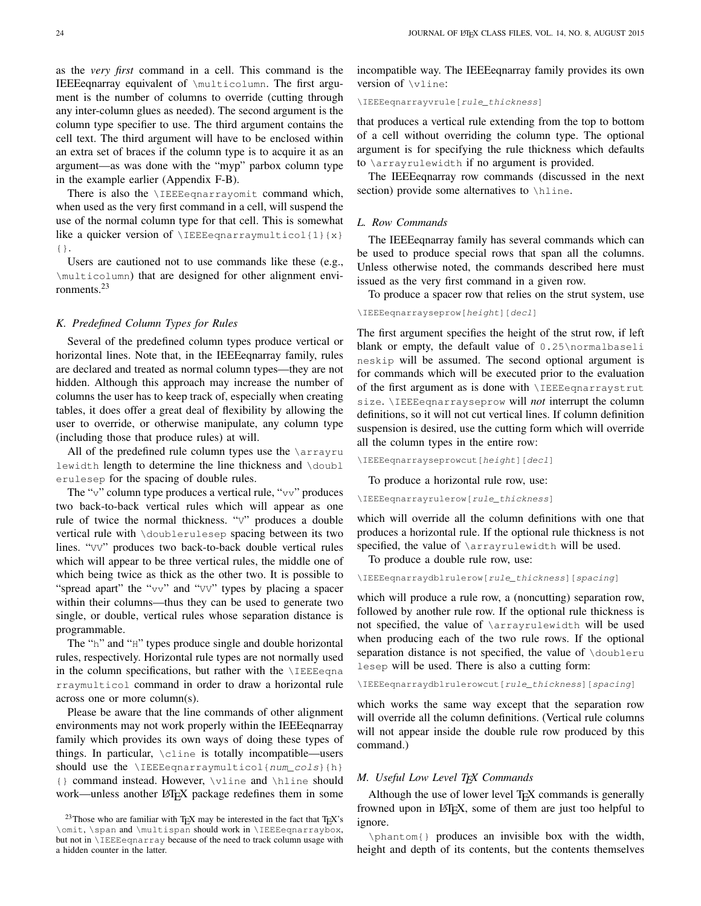as the *very first* command in a cell. This command is the IEEEeqnarray equivalent of \multicolumn. The first argument is the number of columns to override (cutting through any inter-column glues as needed). The second argument is the column type specifier to use. The third argument contains the cell text. The third argument will have to be enclosed within an extra set of braces if the column type is to acquire it as an argument—as was done with the "myp" parbox column type in the example earlier (Appendix [F-B\)](#page-19-2).

There is also the **\IEEEeqnarrayomit** command which, when used as the very first command in a cell, will suspend the use of the normal column type for that cell. This is somewhat like a quicker version of  $\IEEEegnarraymulticol{1}{x}$ {}.

Users are cautioned not to use commands like these (e.g., \multicolumn) that are designed for other alignment environments.[23](#page-23-1)

#### <span id="page-23-0"></span>*K. Predefined Column Types for Rules*

Several of the predefined column types produce vertical or horizontal lines. Note that, in the IEEE equarray family, rules are declared and treated as normal column types—they are not hidden. Although this approach may increase the number of columns the user has to keep track of, especially when creating tables, it does offer a great deal of flexibility by allowing the user to override, or otherwise manipulate, any column type (including those that produce rules) at will.

All of the predefined rule column types use the *\arrayru* lewidth length to determine the line thickness and \doubl erulesep for the spacing of double rules.

The "v" column type produces a vertical rule, "vv" produces two back-to-back vertical rules which will appear as one rule of twice the normal thickness. "V" produces a double vertical rule with \doublerulesep spacing between its two lines. "VV" produces two back-to-back double vertical rules which will appear to be three vertical rules, the middle one of which being twice as thick as the other two. It is possible to "spread apart" the " $vv$ " and " $VV$ " types by placing a spacer within their columns—thus they can be used to generate two single, or double, vertical rules whose separation distance is programmable.

The "h" and "H" types produce single and double horizontal rules, respectively. Horizontal rule types are not normally used in the column specifications, but rather with the  $\I$ EEEeqna rraymulticol command in order to draw a horizontal rule across one or more column(s).

Please be aware that the line commands of other alignment environments may not work properly within the IEEEeqnarray family which provides its own ways of doing these types of things. In particular, \cline is totally incompatible—users should use the  $\left\{\n \begin{array}{cc}\n \text{IEEEegnarraymulticol}\n \text{num}_\text{cols}\n \end{array}\n \right\}$ {} command instead. However, \vline and \hline should work—unless another LATEX package redefines them in some incompatible way. The IEEEeqnarray family provides its own version of \vline:

\IEEEeqnarrayvrule[rule\_thickness]

that produces a vertical rule extending from the top to bottom of a cell without overriding the column type. The optional argument is for specifying the rule thickness which defaults to \arrayrulewidth if no argument is provided.

The IEEEeqnarray row commands (discussed in the next section) provide some alternatives to \hline.

#### *L. Row Commands*

The IEEEeqnarray family has several commands which can be used to produce special rows that span all the columns. Unless otherwise noted, the commands described here must issued as the very first command in a given row.

To produce a spacer row that relies on the strut system, use

\IEEEeqnarrayseprow[height][decl]

The first argument specifies the height of the strut row, if left blank or empty, the default value of 0.25\normalbaseli neskip will be assumed. The second optional argument is for commands which will be executed prior to the evaluation of the first argument as is done with \IEEEeqnarraystrut size. \IEEEeqnarrayseprow will *not* interrupt the column definitions, so it will not cut vertical lines. If column definition suspension is desired, use the cutting form which will override all the column types in the entire row:

\IEEEeqnarrayseprowcut[height][decl]

To produce a horizontal rule row, use:

\IEEEeqnarrayrulerow[rule\_thickness]

which will override all the column definitions with one that produces a horizontal rule. If the optional rule thickness is not specified, the value of \arrayrulewidth will be used.

To produce a double rule row, use:

\IEEEeqnarraydblrulerow[rule\_thickness][spacing]

which will produce a rule row, a (noncutting) separation row, followed by another rule row. If the optional rule thickness is not specified, the value of \arrayrulewidth will be used when producing each of the two rule rows. If the optional separation distance is not specified, the value of **\doubleru** lesep will be used. There is also a cutting form:

\IEEEeqnarraydblrulerowcut[rule\_thickness][spacing]

which works the same way except that the separation row will override all the column definitions. (Vertical rule columns will not appear inside the double rule row produced by this command.)

#### *M. Useful Low Level TEX Commands*

Although the use of lower level T<sub>E</sub>X commands is generally frowned upon in LATEX, some of them are just too helpful to ignore.

\phantom{} produces an invisible box with the width, height and depth of its contents, but the contents themselves

<span id="page-23-1"></span><sup>&</sup>lt;sup>23</sup>Those who are familiar with T<sub>E</sub>X may be interested in the fact that T<sub>E</sub>X's \omit, \span and \multispan should work in \IEEEeqnarraybox, but not in \IEEEeqnarray because of the need to track column usage with a hidden counter in the latter.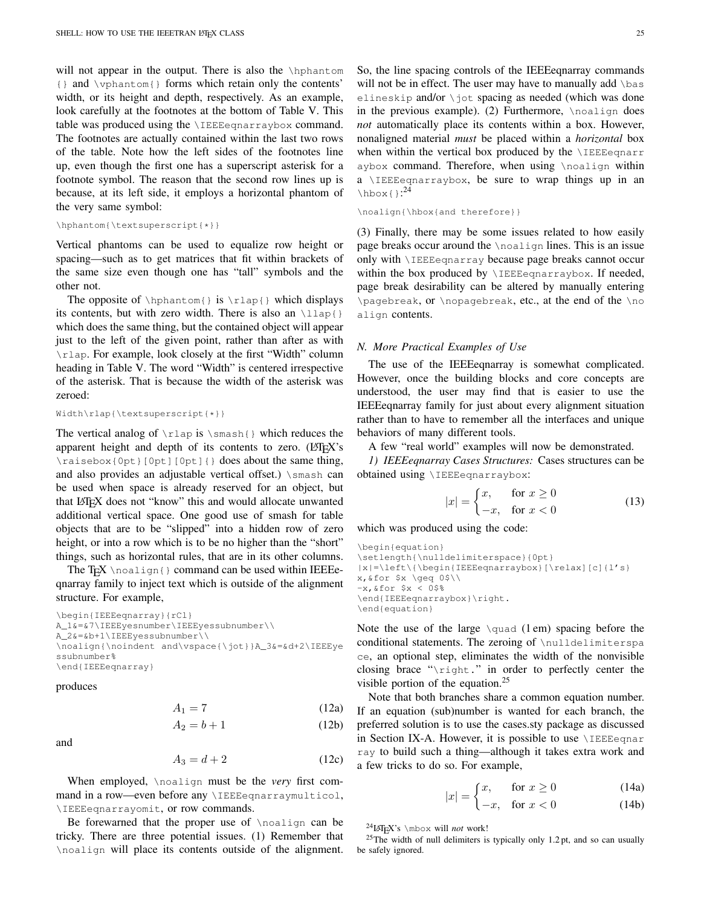will not appear in the output. There is also the *\hphantom* {} and \vphantom{} forms which retain only the contents' width, or its height and depth, respectively. As an example, look carefully at the footnotes at the bottom of Table [V.](#page-18-2) This table was produced using the \IEEEeqnarraybox command. The footnotes are actually contained within the last two rows of the table. Note how the left sides of the footnotes line up, even though the first one has a superscript asterisk for a footnote symbol. The reason that the second row lines up is because, at its left side, it employs a horizontal phantom of the very same symbol:

```
\hphantom{\textsuperscript{*}}
```
Vertical phantoms can be used to equalize row height or spacing—such as to get matrices that fit within brackets of the same size even though one has "tall" symbols and the other not.

The opposite of  $\hbar$  \hphantom{ } is  $\rln$  which displays its contents, but with zero width. There is also an  $\langle \text{llap}\rangle$ which does the same thing, but the contained object will appear just to the left of the given point, rather than after as with \rlap. For example, look closely at the first "Width" column heading in Table [V.](#page-18-2) The word "Width" is centered irrespective of the asterisk. That is because the width of the asterisk was zeroed:

```
Width\rlap{\textsuperscript{*}}
```
The vertical analog of  $\lceil \cdot \rceil$  is  $\sceil \cdot \frac{1}{\rceil}$  which reduces the apparent height and depth of its contents to zero. (LATEX's \raisebox{0pt}[0pt][0pt]{} does about the same thing, and also provides an adjustable vertical offset.) \smash can be used when space is already reserved for an object, but that LATEX does not "know" this and would allocate unwanted additional vertical space. One good use of smash for table objects that are to be "slipped" into a hidden row of zero height, or into a row which is to be no higher than the "short" things, such as horizontal rules, that are in its other columns.

The T<sub>EX</sub> \noalign{} command can be used within IEEEeqnarray family to inject text which is outside of the alignment structure. For example,

\begin{IEEEeqnarray}{rCl} A\_1&=&7\IEEEyesnumber\IEEEyessubnumber\\ A\_2&=&b+1\IEEEyessubnumber\\ \noalign{\noindent and\vspace{\jot}}A\_3&=&d+2\IEEEye ssubnumber% \end{IEEEeqnarray}

produces

and

$$
A_1 = 7 \tag{12a}
$$

$$
A_2 = b + 1 \tag{12b}
$$

$$
A_3 = d + 2 \tag{12c}
$$

When employed, \noalign must be the *very* first command in a row—even before any \IEEEeqnarraymulticol, \IEEEeqnarrayomit, or row commands.

Be forewarned that the proper use of \noalign can be tricky. There are three potential issues. (1) Remember that \noalign will place its contents outside of the alignment. in the previous example). (2) Furthermore,  $\n$ noalign does *not* automatically place its contents within a box. However, nonaligned material *must* be placed within a *horizontal* box when within the vertical box produced by the **\IEEEeqnarr** aybox command. Therefore, when using \noalign within a \IEEEeqnarraybox, be sure to wrap things up in an  $\hbox{\hbox{hbox1}}$ :<sup>[24](#page-24-0)</sup>

```
\noalign{\hbox{and therefore}}
```
(3) Finally, there may be some issues related to how easily page breaks occur around the \noalign lines. This is an issue only with \IEEEeqnarray because page breaks cannot occur within the box produced by *\IEEEeqnarraybox*. If needed, page break desirability can be altered by manually entering \pagebreak, or \nopagebreak, etc., at the end of the \no align contents.

#### *N. More Practical Examples of Use*

The use of the IEEEeqnarray is somewhat complicated. However, once the building blocks and core concepts are understood, the user may find that is easier to use the IEEEeqnarray family for just about every alignment situation rather than to have to remember all the interfaces and unique behaviors of many different tools.

A few "real world" examples will now be demonstrated.

*1) IEEEeqnarray Cases Structures:* Cases structures can be obtained using \IEEEeqnarraybox:

$$
|x| = \begin{cases} x, & \text{for } x \ge 0 \\ -x, & \text{for } x < 0 \end{cases} \tag{13}
$$

which was produced using the code:

```
\begin{equation}
\setlength{\nulldelimiterspace}{0pt}
|x|=\left\{\begin{IEEEeqnarraybox}[\relax][c]{l's}
x,&for $x \geq 0$\\
-x, & for *x < 0$%
\end{IEEEeqnarraybox}\right.
\end{equation}
```
Note the use of the large  $\qquad$  (1 em) spacing before the conditional statements. The zeroing of \nulldelimiterspa ce, an optional step, eliminates the width of the nonvisible closing brace "\right." in order to perfectly center the visible portion of the equation.<sup>[25](#page-24-1)</sup>

Note that both branches share a common equation number. If an equation (sub)number is wanted for each branch, the preferred solution is to use the cases.sty package as discussed in Section [IX-A.](#page-8-5) However, it is possible to use  $\iota$ IEEEeqnar ray to build such a thing—although it takes extra work and a few tricks to do so. For example,

$$
|x| = \begin{cases} x, & \text{for } x \ge 0 \\ 0, & \text{otherwise} \end{cases}
$$
 (14a)

$$
|x| = \begin{cases} -x, & \text{for } x < 0 \end{cases} \tag{14b}
$$

<span id="page-24-1"></span><span id="page-24-0"></span> $^{24}$ LAT<sub>E</sub>X's \mbox will *not* work!

<sup>25</sup>The width of null delimiters is typically only 1.2 pt, and so can usually be safely ignored.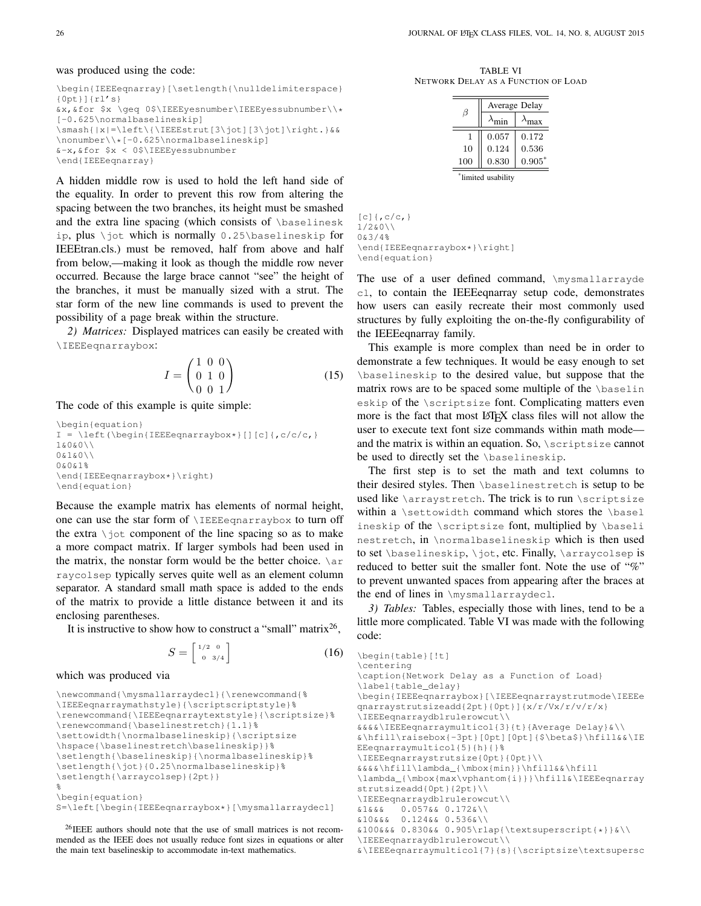#### was produced using the code:

```
\begin{IEEEeqnarray}[\setlength{\nulldelimiterspace}
{0pt}]{rl's}
&x,&for $x \geq 0$\IEEEyesnumber\IEEEyessubnumber\\*
[-0.625\normalbaselineskip]
\smash{|x|=\left\{\IEEEstrut[3\jot][3\jot]\right.}&&
\nonumber\\*[-0.625\normalbaselineskip]
&-x,&for $x < 0$\IEEEyessubnumber
\end{IEEEeqnarray}
```
A hidden middle row is used to hold the left hand side of the equality. In order to prevent this row from altering the spacing between the two branches, its height must be smashed and the extra line spacing (which consists of \baselinesk ip, plus \jot which is normally 0.25\baselineskip for IEEEtran.cls.) must be removed, half from above and half from below,—making it look as though the middle row never occurred. Because the large brace cannot "see" the height of the branches, it must be manually sized with a strut. The star form of the new line commands is used to prevent the possibility of a page break within the structure.

*2) Matrices:* Displayed matrices can easily be created with \IEEEeqnarraybox:

 $1 - \alpha$ 

$$
I = \begin{pmatrix} 1 & 0 & 0 \\ 0 & 1 & 0 \\ 0 & 0 & 1 \end{pmatrix}
$$
 (15)

The code of this example is quite simple:

```
\begin{equation}
I = \left(\begin{array}{c} I \equiv \left(1 - \frac{1}{\sqrt{1 - \frac{1}{\sqrt{1 - \frac{1}{\sqrt{1 - \frac{1}{\sqrt{1 - \frac{1}{\sqrt{1 - \frac{1}{\sqrt{1 - \frac{1}{\sqrt{1 - \frac{1}{\sqrt{1 - \frac{1}{\sqrt{1 - \frac{1}{\sqrt{1 - \frac{1}{\sqrt{1 - \frac{1}{\sqrt{1 - \frac{1}{\sqrt{1 - \frac{1}{\sqrt{1 - \frac{1}{\sqrt{1 - \frac{1}{\sqrt{1 - \frac{1}{\sqrt{1 - \frac{1}{\sqrt{1 - \frac{1}{\sqrt{1 - \frac{1}{\sqrt{1 - \1&0&0\\
0&1&0\\
0&0&1%
\end{IEEEeqnarraybox*}\right)
\end{equation}
```
Because the example matrix has elements of normal height, one can use the star form of \IEEEeqnarraybox to turn off the extra  $\setminus$  jot component of the line spacing so as to make a more compact matrix. If larger symbols had been used in the matrix, the nonstar form would be the better choice.  $\arctan$ raycolsep typically serves quite well as an element column separator. A standard small math space is added to the ends of the matrix to provide a little distance between it and its enclosing parentheses.

It is instructive to show how to construct a "small" matrix<sup>[26](#page-25-0)</sup>,

$$
S = \begin{bmatrix} \frac{1}{2} & 0\\ 0 & \frac{3}{4} \end{bmatrix} \tag{16}
$$

which was produced via

```
\newcommand{\mysmallarraydecl}{\renewcommand{%
\IEEEeqnarraymathstyle}{\scriptscriptstyle}%
\renewcommand{\IEEEeqnarraytextstyle}{\scriptsize}%
\renewcommand{\baselinestretch}{1.1}%
\settowidth{\normalbaselineskip}{\scriptsize
\hspace{\baselinestretch\baselineskip}}%
\setlength{\baselineskip}{\normalbaselineskip}%
\setlength{\jot}{0.25\normalbaselineskip}%
\setlength{\arraycolsep}{2pt}}
%
\begin{equation}
S=\left[\begin{IEEEeqnarraybox*}[\mysmallarraydecl]
```
<span id="page-25-0"></span><sup>26</sup>IEEE authors should note that the use of small matrices is not recommended as the IEEE does not usually reduce font sizes in equations or alter the main text baselineskip to accommodate in-text mathematics.

<span id="page-25-1"></span>TABLE VI NETWORK DELAY AS A FUNCTION OF LOAD

|                   | Average Delay |          |
|-------------------|---------------|----------|
| H                 |               | nax      |
| 1                 | 0.057         | 0.172    |
| 10                | 0.124         | 0.536    |
| 100               | 0.830         | $0.905*$ |
| limited usability |               |          |

 $[c]$  {, c/c, } 1/2&0\\ 0&3/4% \end{IEEEeqnarraybox\*}\right] \end{equation}

The use of a user defined command, \mysmallarrayde cl, to contain the IEEEeqnarray setup code, demonstrates how users can easily recreate their most commonly used structures by fully exploiting the on-the-fly configurability of the IEEEeqnarray family.

This example is more complex than need be in order to demonstrate a few techniques. It would be easy enough to set \baselineskip to the desired value, but suppose that the matrix rows are to be spaced some multiple of the \baselin eskip of the \scriptsize font. Complicating matters even more is the fact that most LATEX class files will not allow the user to execute text font size commands within math mode and the matrix is within an equation. So, \scriptsize cannot be used to directly set the \baselineskip.

The first step is to set the math and text columns to their desired styles. Then \baselinestretch is setup to be used like  $\arrows$  arraystretch. The trick is to run  $\scriptstyle\setminus$  scriptsize within a \settowidth command which stores the \basel ineskip of the \scriptsize font, multiplied by \baseli nestretch, in \normalbaselineskip which is then used to set \baselineskip, \jot, etc. Finally, \arraycolsep is reduced to better suit the smaller font. Note the use of "%" to prevent unwanted spaces from appearing after the braces at the end of lines in \mysmallarraydecl.

*3) Tables:* Tables, especially those with lines, tend to be a little more complicated. Table [VI](#page-25-1) was made with the following code:

```
\begin{table}[!t]
\centering
\caption{Network Delay as a Function of Load}
\label{table_delay}
\begin{IEEEeqnarraybox}[\IEEEeqnarraystrutmode\IEEEe
qnarraystrutsizeadd{2pt}{0pt}]{x/r/Vx/r/v/r/x}
\IEEEeqnarraydblrulerowcut\\
&&&&\IEEEeqnarraymulticol{3}{t}{Average Delay}&\\
&\hfill\raisebox{-3pt}[0pt][0pt]{$\beta$}\hfill&&\IE
EEeqnarraymulticol{5}{h}{}%
\IEEEeqnarraystrutsize{0pt}{0pt}\\
&&&&\hfill\lambda_{\mbox{min}}\hfill&&\hfill
\lambda_{\mbox{max\vphantom{i}}}\hfill&\IEEEeqnarray
strutsizeadd{0pt}{2pt}\\
\IEEEeqnarraydblrulerowcut\\
&1&&& 0.057&& 0.172&\\
&10&&& 0.124&& 0.536&\\
&100&&& 0.830&& 0.905\rlap{\textsuperscript{*}}&\\
\IEEEeqnarraydblrulerowcut\\
&\IEEEeqnarraymulticol{7}{s}{\scriptsize\textsupersc
```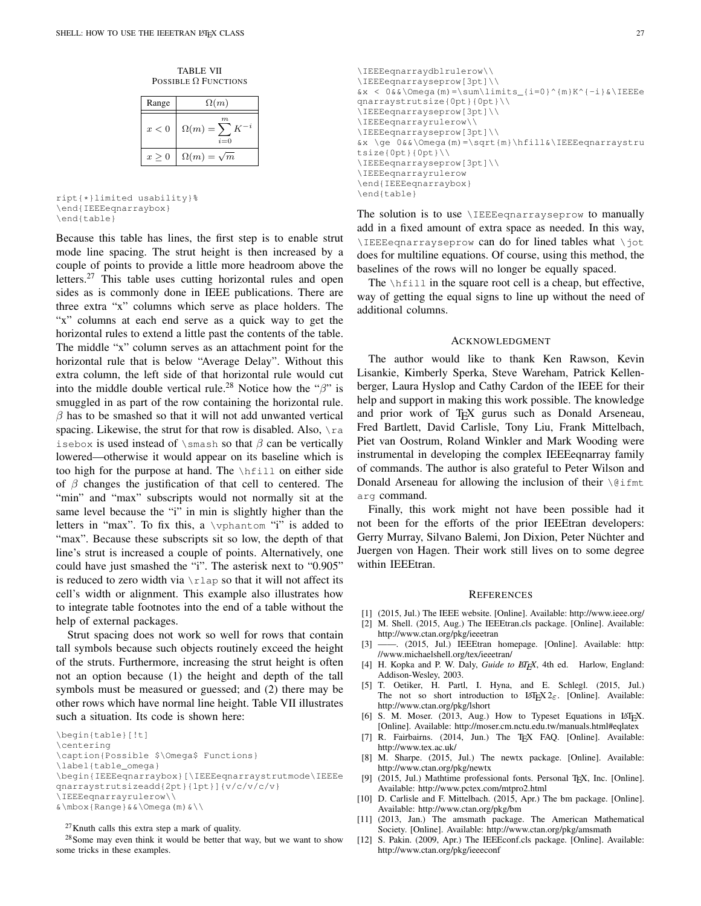TABLE VII POSSIBLE  $\Omega$  FUNCTIONS

<span id="page-26-14"></span>

| Range | $\Omega(m)$                        |
|-------|------------------------------------|
| x<0   | m<br>$\Omega(m) = \sum K$<br>$i=0$ |
| x > 0 | $\Omega(m) = \sqrt{m}$             |

ript{\*}limited usability}% \end{IEEEeqnarraybox} \end{table}

Because this table has lines, the first step is to enable strut mode line spacing. The strut height is then increased by a couple of points to provide a little more headroom above the letters.<sup>[27](#page-26-12)</sup> This table uses cutting horizontal rules and open sides as is commonly done in IEEE publications. There are three extra "x" columns which serve as place holders. The "x" columns at each end serve as a quick way to get the horizontal rules to extend a little past the contents of the table. The middle "x" column serves as an attachment point for the horizontal rule that is below "Average Delay". Without this extra column, the left side of that horizontal rule would cut into the middle double vertical rule.<sup>[28](#page-26-13)</sup> Notice how the " $\beta$ " is smuggled in as part of the row containing the horizontal rule.  $\beta$  has to be smashed so that it will not add unwanted vertical spacing. Likewise, the strut for that row is disabled. Also,  $\text{ra}$ isebox is used instead of  $\mathrm{s}$  as that  $\beta$  can be vertically lowered—otherwise it would appear on its baseline which is too high for the purpose at hand. The \hfill on either side of  $\beta$  changes the justification of that cell to centered. The "min" and "max" subscripts would not normally sit at the same level because the "i" in min is slightly higher than the letters in "max". To fix this, a  $\varepsilon$  "i" is added to "max". Because these subscripts sit so low, the depth of that line's strut is increased a couple of points. Alternatively, one could have just smashed the "i". The asterisk next to "0.905" is reduced to zero width via  $\lceil \cdot \rceil$  and so that it will not affect its cell's width or alignment. This example also illustrates how to integrate table footnotes into the end of a table without the help of external packages.

Strut spacing does not work so well for rows that contain tall symbols because such objects routinely exceed the height of the struts. Furthermore, increasing the strut height is often not an option because (1) the height and depth of the tall symbols must be measured or guessed; and (2) there may be other rows which have normal line height. Table [VII](#page-26-14) illustrates such a situation. Its code is shown here:

\begin{table}[!t] \centering \caption{Possible \$\Omega\$ Functions} \label{table\_omega} \begin{IEEEeqnarraybox}[\IEEEeqnarraystrutmode\IEEEe qnarraystrutsizeadd{2pt}{1pt}]{v/c/v/c/v} \IEEEeqnarrayrulerow\\  $\&\mbox{\n mbox{Range}}&\mbox{\n } \Omega(m)\&\mbox{\n }$ 

<span id="page-26-13"></span><span id="page-26-12"></span> $27$ Knuth calls this extra step a mark of quality.

<sup>28</sup>Some may even think it would be better that way, but we want to show some tricks in these examples.

```
\IEEEeqnarraydblrulerow\\
\IEEEeqnarrayseprow[3pt]\\
&x < 0&&\Omega (m) = \sum \limits_{i=0}^{m}K^{-i} & \IEEEe
qnarraystrutsize{0pt}{0pt}\\
\IEEEeqnarrayseprow[3pt]\\
\IEEEeqnarrayrulerow\\
\IEEEeqnarrayseprow[3pt]\\
&x \ge 0&&\Omega(m)=\sqrt{m}\hfill&\IEEEeqnarraystru
tsize{0pt}{0pt}\\
\IEEEeqnarrayseprow[3pt]\\
\IEEEeqnarrayrulerow
\end{IEEEeqnarraybox}
\end{table}
```
The solution is to use *\IEEEeqnarrayseprow* to manually add in a fixed amount of extra space as needed. In this way, \IEEEeqnarrayseprow can do for lined tables what \jot does for multiline equations. Of course, using this method, the baselines of the rows will no longer be equally spaced.

The  $\hbar$  ill in the square root cell is a cheap, but effective, way of getting the equal signs to line up without the need of additional columns.

#### ACKNOWLEDGMENT

The author would like to thank Ken Rawson, Kevin Lisankie, Kimberly Sperka, Steve Wareham, Patrick Kellenberger, Laura Hyslop and Cathy Cardon of the IEEE for their help and support in making this work possible. The knowledge and prior work of TEX gurus such as Donald Arseneau, Fred Bartlett, David Carlisle, Tony Liu, Frank Mittelbach, Piet van Oostrum, Roland Winkler and Mark Wooding were instrumental in developing the complex IEEEeqnarray family of commands. The author is also grateful to Peter Wilson and Donald Arseneau for allowing the inclusion of their  $\Diamond$  ifmt arg command.

Finally, this work might not have been possible had it not been for the efforts of the prior IEEEtran developers: Gerry Murray, Silvano Balemi, Jon Dixion, Peter Nüchter and Juergen von Hagen. Their work still lives on to some degree within IEEEtran.

#### **REFERENCES**

- <span id="page-26-0"></span>[1] (2015, Jul.) The IEEE website. [Online]. Available: <http://www.ieee.org/>
- <span id="page-26-1"></span>[2] M. Shell. (2015, Aug.) The IEEEtran.cls package. [Online]. Available: <http://www.ctan.org/pkg/ieeetran>
- <span id="page-26-2"></span>[3] ——. (2015, Jul.) IEEEtran homepage. [Online]. Available: [http:](http://www.michaelshell.org/tex/ieeetran/) [//www.michaelshell.org/tex/ieeetran/](http://www.michaelshell.org/tex/ieeetran/)
- <span id="page-26-3"></span>[4] H. Kopka and P. W. Daly, *Guide to EIEX*, 4th ed. Harlow, England: Addison-Wesley, 2003.
- <span id="page-26-5"></span>[5] T. Oetiker, H. Partl, I. Hyna, and E. Schlegl. (2015, Jul.) The not so short introduction to  $\text{LATEX2}_{\varepsilon}$ . [Online]. Available: <http://www.ctan.org/pkg/lshort>
- <span id="page-26-4"></span>[6] S. M. Moser. (2013, Aug.) How to Typeset Equations in LATEX. [Online]. Available: <http://moser.cm.nctu.edu.tw/manuals.html#eqlatex>
- <span id="page-26-6"></span>[7] R. Fairbairns. (2014, Jun.) The TEX FAQ. [Online]. Available: <http://www.tex.ac.uk/>
- <span id="page-26-7"></span>[8] M. Sharpe. (2015, Jul.) The newtx package. [Online]. Available: <http://www.ctan.org/pkg/newtx>
- <span id="page-26-8"></span>[9] (2015, Jul.) Mathtime professional fonts. Personal TEX, Inc. [Online]. Available: <http://www.pctex.com/mtpro2.html>
- <span id="page-26-9"></span>[10] D. Carlisle and F. Mittelbach. (2015, Apr.) The bm package. [Online]. Available: <http://www.ctan.org/pkg/bm>
- <span id="page-26-10"></span>[11] (2013, Jan.) The amsmath package. The American Mathematical Society. [Online]. Available: <http://www.ctan.org/pkg/amsmath>
- <span id="page-26-11"></span>[12] S. Pakin. (2009, Apr.) The IEEEconf.cls package. [Online]. Available: <http://www.ctan.org/pkg/ieeeconf>